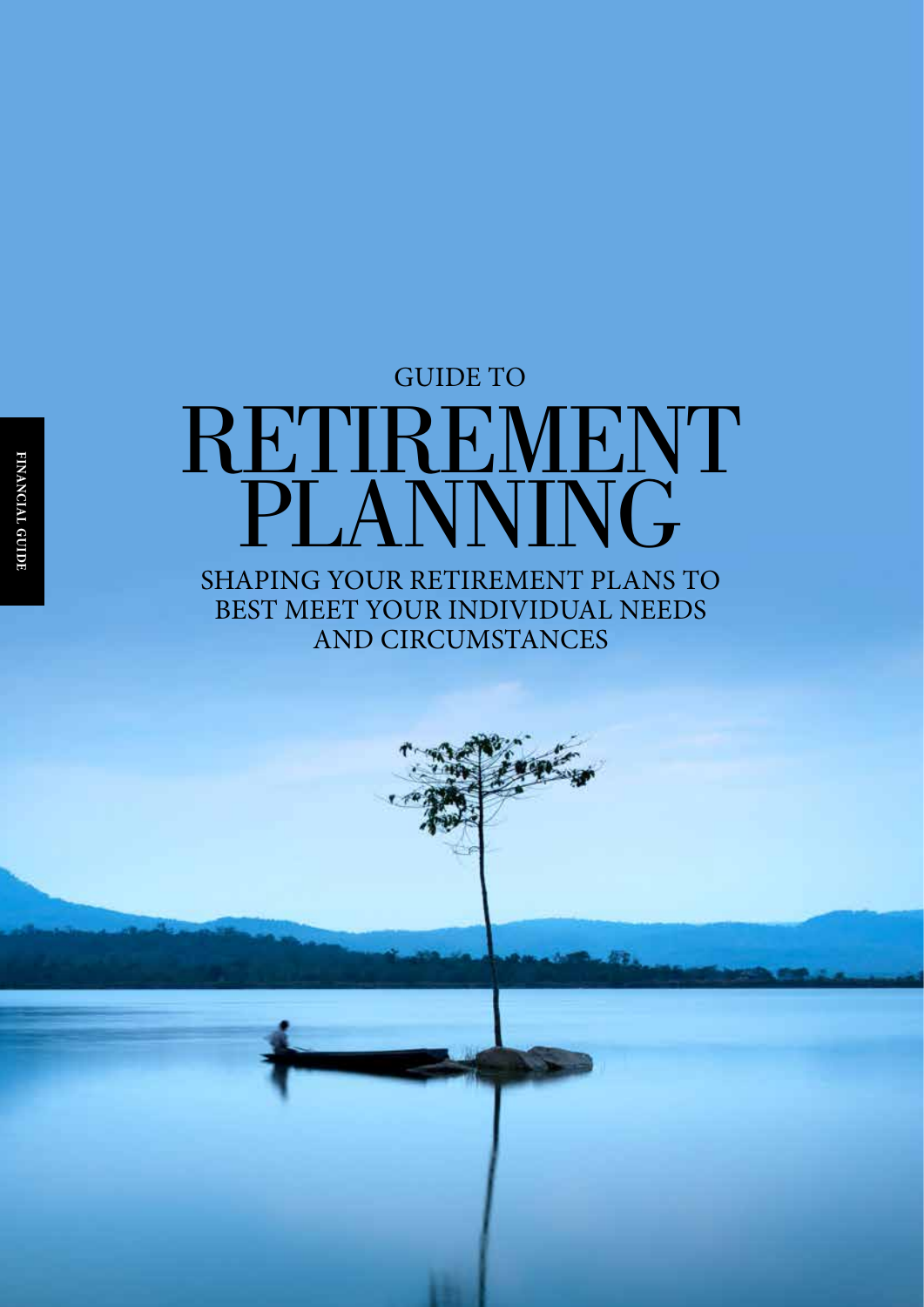## RETIREMENT PLANNING GUIDE TO

### SHAPING YOUR RETIREMENT PLANS TO BEST MEET YOUR INDIVIDUAL NEEDS AND CIRCUMSTANCES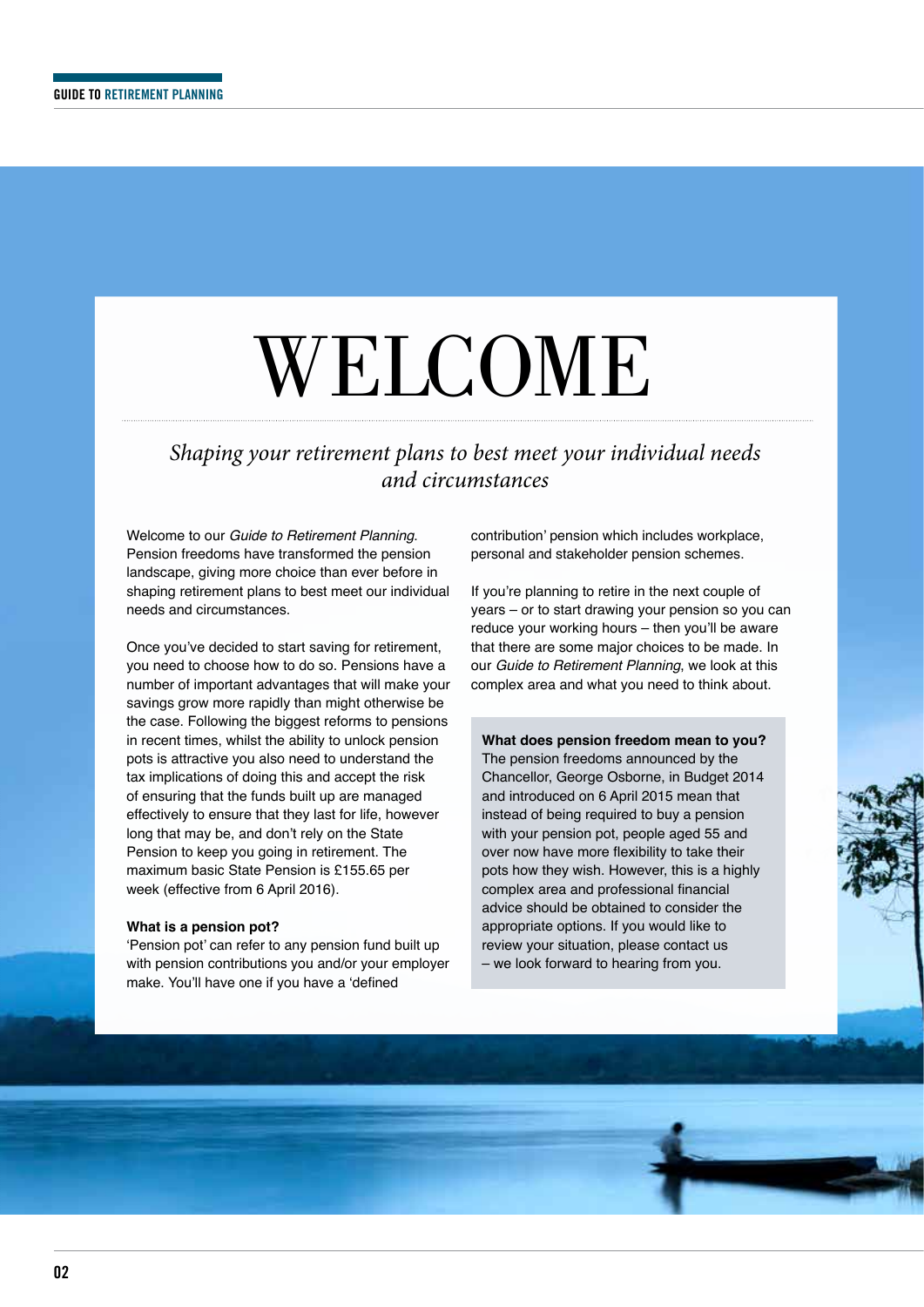# WELCOME

### *Shaping your retirement plans to best meet your individual needs and circumstances*

Welcome to our *Guide to Retirement Planning*. Pension freedoms have transformed the pension landscape, giving more choice than ever before in shaping retirement plans to best meet our individual needs and circumstances.

Once you've decided to start saving for retirement, you need to choose how to do so. Pensions have a number of important advantages that will make your savings grow more rapidly than might otherwise be the case. Following the biggest reforms to pensions in recent times, whilst the ability to unlock pension pots is attractive you also need to understand the tax implications of doing this and accept the risk of ensuring that the funds built up are managed effectively to ensure that they last for life, however long that may be, and don't rely on the State Pension to keep you going in retirement. The maximum basic State Pension is £155.65 per week (effective from 6 April 2016).

#### **What is a pension pot?**

'Pension pot' can refer to any pension fund built up with pension contributions you and/or your employer make. You'll have one if you have a 'defined

contribution' pension which includes workplace, personal and stakeholder pension schemes.

If you're planning to retire in the next couple of years – or to start drawing your pension so you can reduce your working hours – then you'll be aware that there are some major choices to be made. In our *Guide to Retirement Planning*, we look at this complex area and what you need to think about.

**What does pension freedom mean to you?** The pension freedoms announced by the Chancellor, George Osborne, in Budget 2014 and introduced on 6 April 2015 mean that instead of being required to buy a pension with your pension pot, people aged 55 and over now have more flexibility to take their pots how they wish. However, this is a highly complex area and professional financial advice should be obtained to consider the appropriate options. If you would like to review your situation, please contact us – we look forward to hearing from you.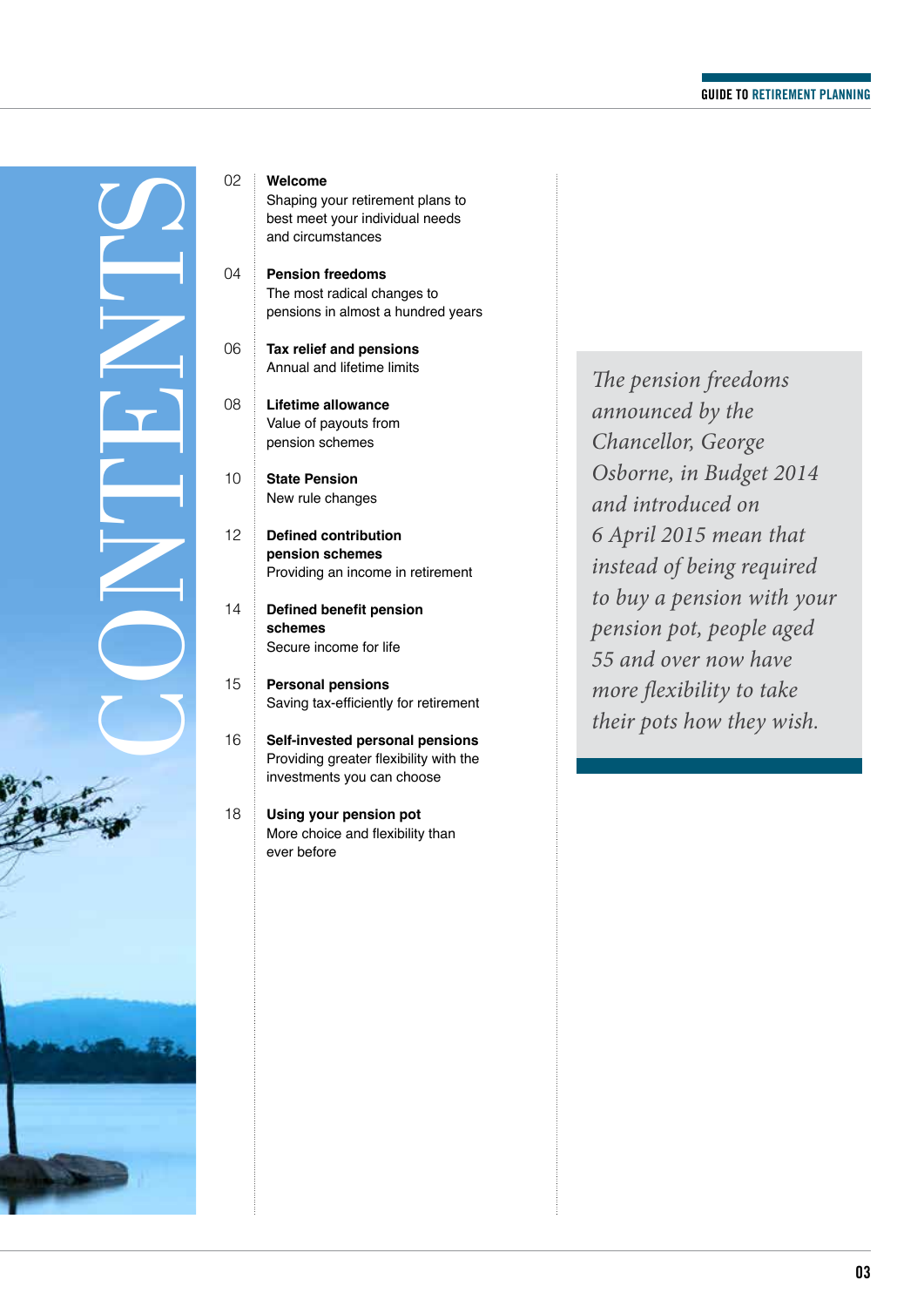

#### **Welcome**

 $04$ 

14

18

Shaping your retirement plans to best meet your individual needs and circumstances

**Pension freedoms** The most radical changes to pensions in almost a hundred years

06 **Tax relief and pensions** Annual and lifetime limits

08 **Lifetime allowance** Value of payouts from pension schemes

10 **State Pension** New rule changes

12 **Defined contribution pension schemes** Providing an income in retirement

**Defined benefit pension schemes** Secure income for life

15 **Personal pensions** Saving tax-efficiently for retirement

16 **Self-invested personal pensions** Providing greater flexibility with the investments you can choose

> **Using your pension pot** More choice and flexibility than ever before

*The pension freedoms announced by the Chancellor, George Osborne, in Budget 2014 and introduced on 6 April 2015 mean that instead of being required to buy a pension with your pension pot, people aged 55 and over now have more flexibility to take their pots how they wish.*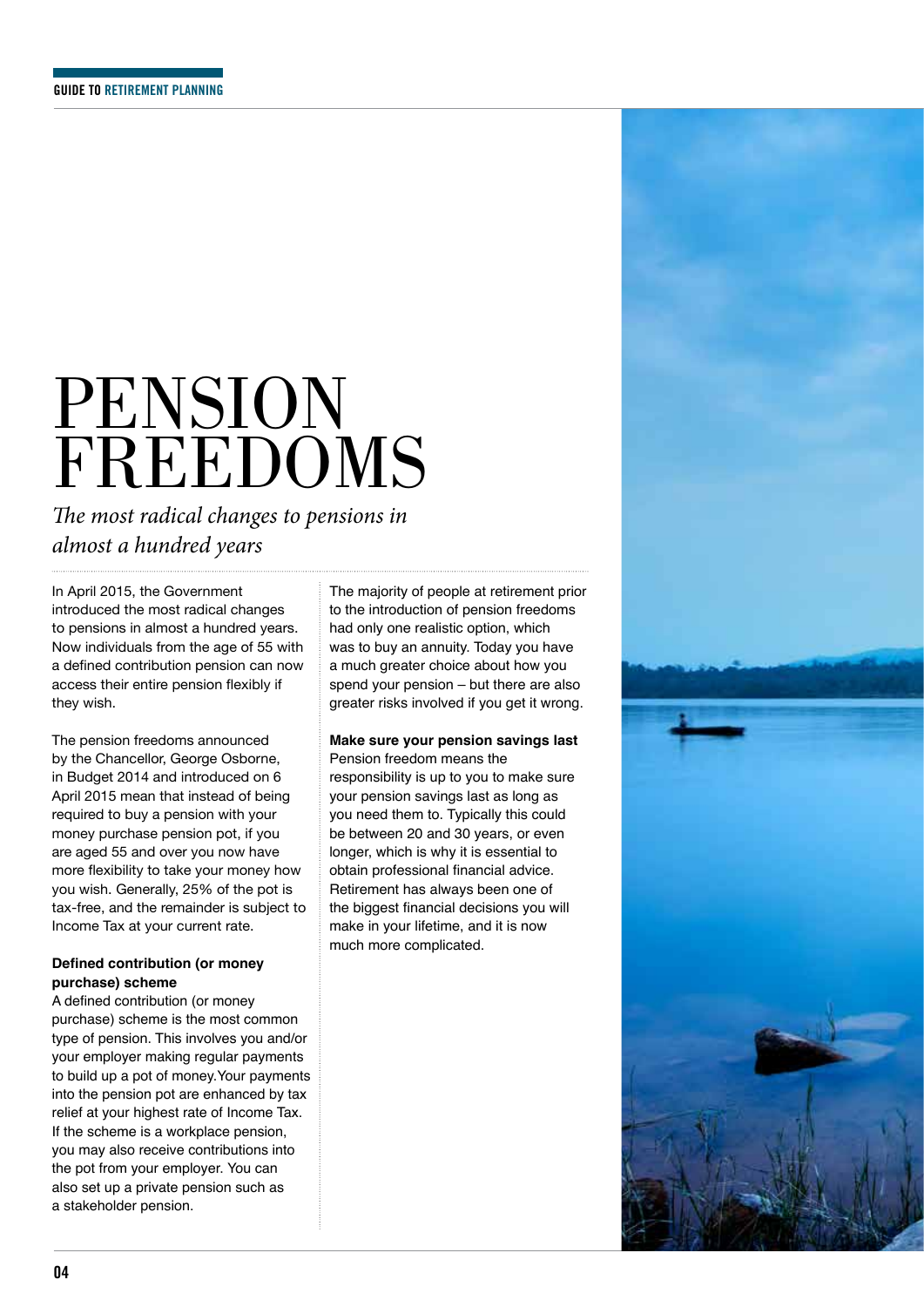## PENSION FREEDOMS

*The most radical changes to pensions in almost a hundred years*

In April 2015, the Government introduced the most radical changes to pensions in almost a hundred years. Now individuals from the age of 55 with a defined contribution pension can now access their entire pension flexibly if they wish.

The pension freedoms announced by the Chancellor, George Osborne, in Budget 2014 and introduced on 6 April 2015 mean that instead of being required to buy a pension with your money purchase pension pot, if you are aged 55 and over you now have more flexibility to take your money how you wish. Generally, 25% of the pot is tax-free, and the remainder is subject to Income Tax at your current rate.

#### **Defined contribution (or money purchase) scheme**

A defined contribution (or money purchase) scheme is the most common type of pension. This involves you and/or your employer making regular payments to build up a pot of money.Your payments into the pension pot are enhanced by tax relief at your highest rate of Income Tax. If the scheme is a workplace pension, you may also receive contributions into the pot from your employer. You can also set up a private pension such as a stakeholder pension.

The majority of people at retirement prior to the introduction of pension freedoms had only one realistic option, which was to buy an annuity. Today you have a much greater choice about how you spend your pension – but there are also greater risks involved if you get it wrong.

### **Make sure your pension savings last**

Pension freedom means the responsibility is up to you to make sure your pension savings last as long as you need them to. Typically this could be between 20 and 30 years, or even longer, which is why it is essential to obtain professional financial advice. Retirement has always been one of the biggest financial decisions you will make in your lifetime, and it is now much more complicated.

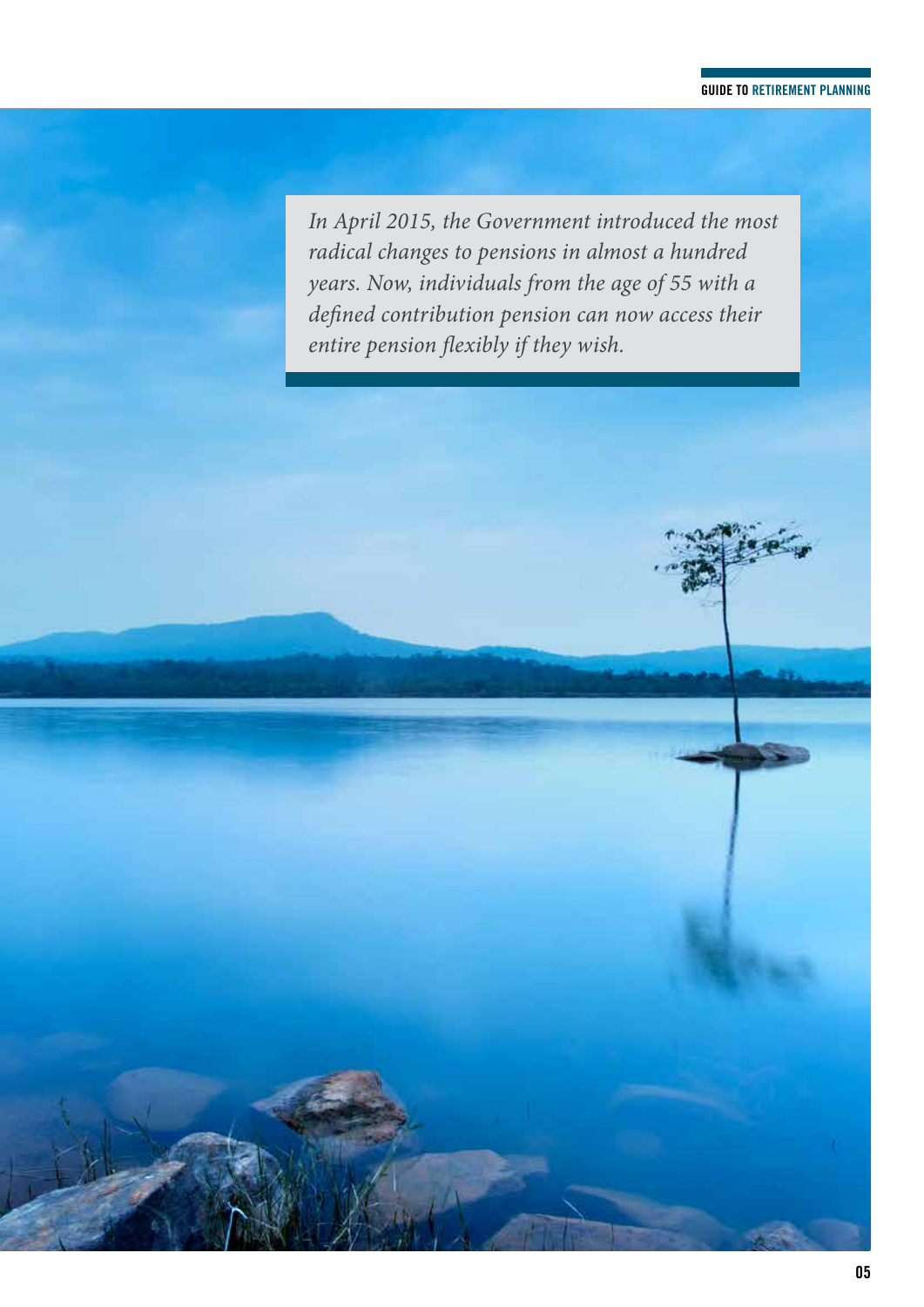#### **GUIDE TO RETIREMENT PLANNING**

*In April 2015, the Government introduced the most radical changes to pensions in almost a hundred years. Now, individuals from the age of 55 with a defined contribution pension can now access their entire pension flexibly if they wish.*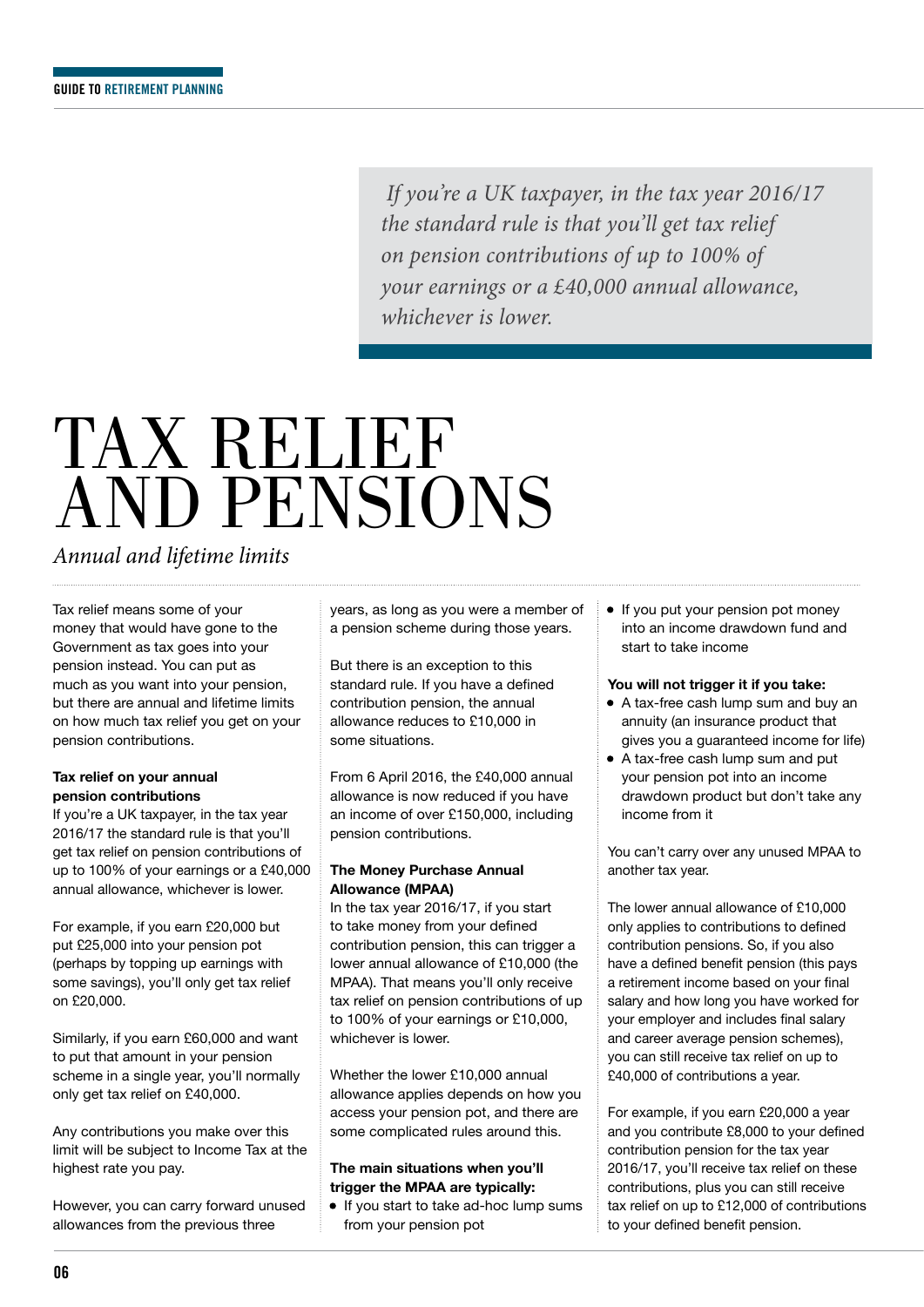*If you're a UK taxpayer, in the tax year 2016/17 the standard rule is that you'll get tax relief on pension contributions of up to 100% of your earnings or a £40,000 annual allowance, whichever is lower.*

## TAX RELIEF AND PENSIONS

### *Annual and lifetime limits*

Tax relief means some of your money that would have gone to the Government as tax goes into your pension instead. You can put as much as you want into your pension, but there are annual and lifetime limits on how much tax relief you get on your pension contributions.

#### **Tax relief on your annual pension contributions**

If you're a UK taxpayer, in the tax year 2016/17 the standard rule is that you'll get tax relief on pension contributions of up to 100% of your earnings or a £40,000 annual allowance, whichever is lower.

For example, if you earn £20,000 but put £25,000 into your pension pot (perhaps by topping up earnings with some savings), you'll only get tax relief on £20,000.

Similarly, if you earn £60,000 and want to put that amount in your pension scheme in a single year, you'll normally only get tax relief on £40,000.

Any contributions you make over this limit will be subject to Income Tax at the highest rate you pay.

However, you can carry forward unused allowances from the previous three

years, as long as you were a member of a pension scheme during those years.

But there is an exception to this standard rule. If you have a defined contribution pension, the annual allowance reduces to £10,000 in some situations.

From 6 April 2016, the £40,000 annual allowance is now reduced if you have an income of over £150,000, including pension contributions.

#### **The Money Purchase Annual Allowance (MPAA)**

In the tax year 2016/17, if you start to take money from your defined contribution pension, this can trigger a lower annual allowance of £10,000 (the MPAA). That means you'll only receive tax relief on pension contributions of up to 100% of your earnings or £10,000, whichever is lower.

Whether the lower £10,000 annual allowance applies depends on how you access your pension pot, and there are some complicated rules around this.

#### **The main situations when you'll trigger the MPAA are typically:**

• If you start to take ad-hoc lump sums from your pension pot

• If you put your pension pot money into an income drawdown fund and start to take income

#### **You will not trigger it if you take:**

- A tax-free cash lump sum and buy an annuity (an insurance product that gives you a guaranteed income for life)
- A tax-free cash lump sum and put your pension pot into an income drawdown product but don't take any income from it

You can't carry over any unused MPAA to another tax year.

The lower annual allowance of £10,000 only applies to contributions to defined contribution pensions. So, if you also have a defined benefit pension (this pays a retirement income based on your final salary and how long you have worked for your employer and includes final salary and career average pension schemes), you can still receive tax relief on up to £40,000 of contributions a year.

For example, if you earn £20,000 a year and you contribute £8,000 to your defined contribution pension for the tax year 2016/17, you'll receive tax relief on these contributions, plus you can still receive tax relief on up to £12,000 of contributions to your defined benefit pension.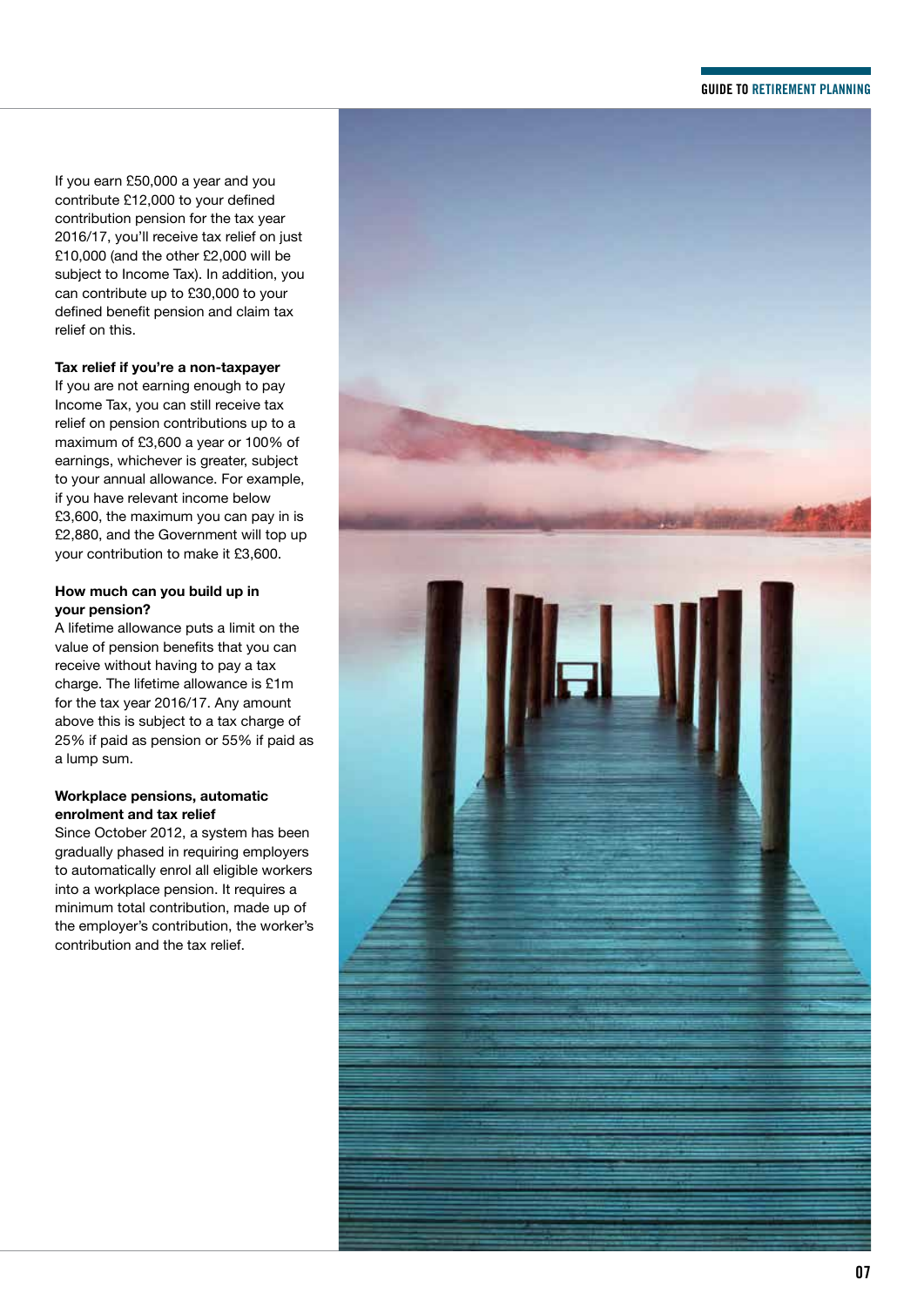#### **GUIDE TO RETIREMENT PLANNING**

If you earn £50,000 a year and you contribute £12,000 to your defined contribution pension for the tax year 2016/17, you'll receive tax relief on just £10,000 (and the other £2,000 will be subject to Income Tax). In addition, you can contribute up to £30,000 to your defined benefit pension and claim tax relief on this.

#### **Tax relief if you're a non-taxpayer**

If you are not earning enough to pay Income Tax, you can still receive tax relief on pension contributions up to a maximum of £3,600 a year or 100% of earnings, whichever is greater, subject to your annual allowance. For example, if you have relevant income below £3,600, the maximum you can pay in is £2,880, and the Government will top up your contribution to make it £3,600.

#### **How much can you build up in your pension?**

A lifetime allowance puts a limit on the value of pension benefits that you can receive without having to pay a tax charge. The lifetime allowance is £1m for the tax year 2016/17. Any amount above this is subject to a tax charge of 25% if paid as pension or 55% if paid as a lump sum.

#### **Workplace pensions, automatic enrolment and tax relief**

Since October 2012, a system has been gradually phased in requiring employers to automatically enrol all eligible workers into a workplace pension. It requires a minimum total contribution, made up of the employer's contribution, the worker's contribution and the tax relief.

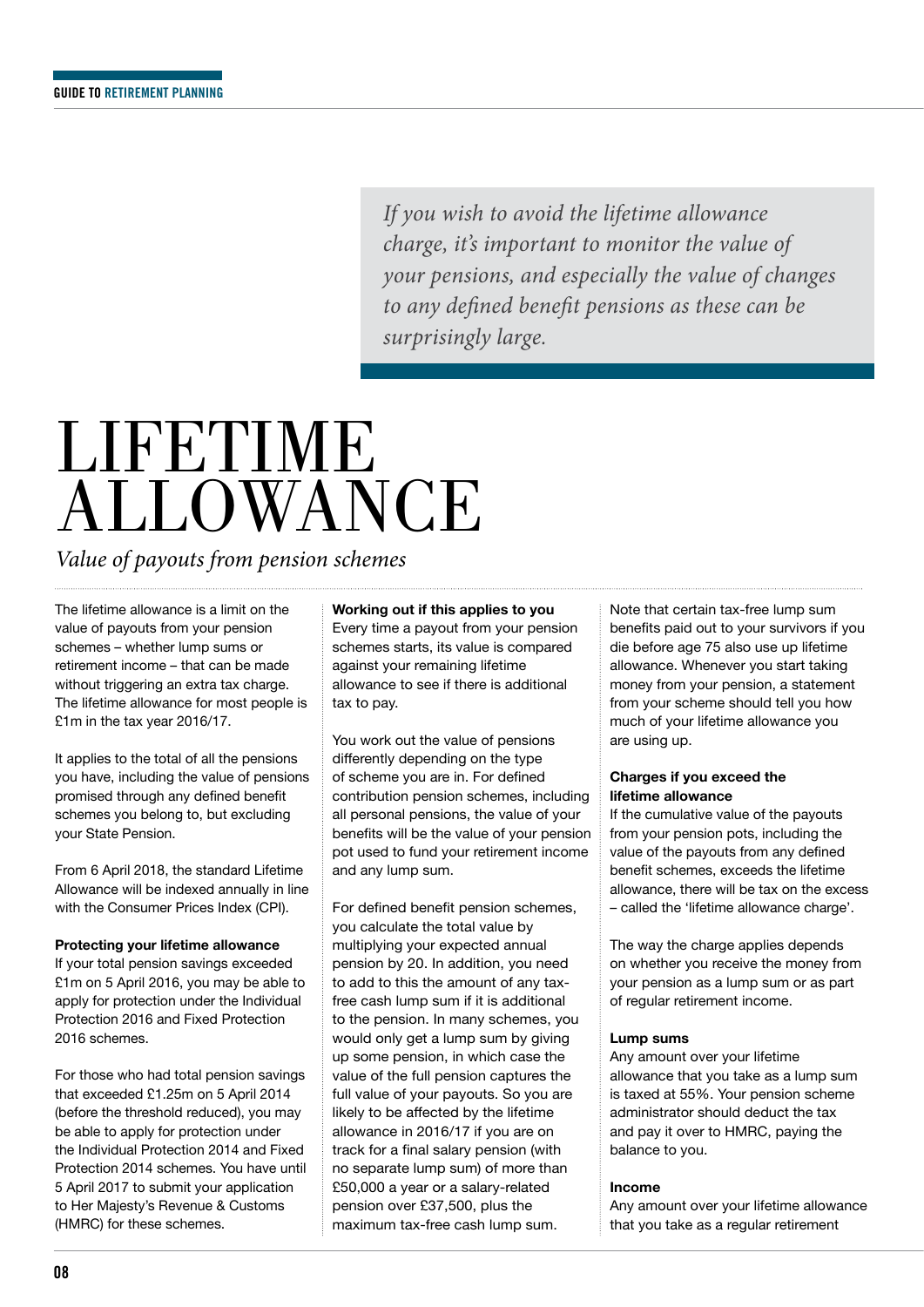*If you wish to avoid the lifetime allowance charge, it's important to monitor the value of your pensions, and especially the value of changes to any defined benefit pensions as these can be surprisingly large.*

## LIFETIME **ALLOWANCE**

*Value of payouts from pension schemes*

The lifetime allowance is a limit on the value of payouts from your pension schemes – whether lump sums or retirement income – that can be made without triggering an extra tax charge. The lifetime allowance for most people is £1m in the tax year 2016/17.

It applies to the total of all the pensions you have, including the value of pensions promised through any defined benefit schemes you belong to, but excluding your State Pension.

From 6 April 2018, the standard Lifetime Allowance will be indexed annually in line with the Consumer Prices Index (CPI).

#### **Protecting your lifetime allowance**

If your total pension savings exceeded £1m on 5 April 2016, you may be able to apply for protection under the Individual Protection 2016 and Fixed Protection 2016 schemes.

For those who had total pension savings that exceeded £1.25m on 5 April 2014 (before the threshold reduced), you may be able to apply for protection under the Individual Protection 2014 and Fixed Protection 2014 schemes. You have until 5 April 2017 to submit your application to Her Majesty's Revenue & Customs (HMRC) for these schemes.

#### **Working out if this applies to you**

Every time a payout from your pension schemes starts, its value is compared against your remaining lifetime allowance to see if there is additional tax to pay.

You work out the value of pensions differently depending on the type of scheme you are in. For defined contribution pension schemes, including all personal pensions, the value of your benefits will be the value of your pension pot used to fund your retirement income and any lump sum.

For defined benefit pension schemes, you calculate the total value by multiplying your expected annual pension by 20. In addition, you need to add to this the amount of any taxfree cash lump sum if it is additional to the pension. In many schemes, you would only get a lump sum by giving up some pension, in which case the value of the full pension captures the full value of your payouts. So you are likely to be affected by the lifetime allowance in 2016/17 if you are on track for a final salary pension (with no separate lump sum) of more than £50,000 a year or a salary-related pension over £37,500, plus the maximum tax-free cash lump sum.

Note that certain tax-free lump sum benefits paid out to your survivors if you die before age 75 also use up lifetime allowance. Whenever you start taking money from your pension, a statement from your scheme should tell you how much of your lifetime allowance you are using up.

#### **Charges if you exceed the lifetime allowance**

If the cumulative value of the payouts from your pension pots, including the value of the payouts from any defined benefit schemes, exceeds the lifetime allowance, there will be tax on the excess – called the 'lifetime allowance charge'.

The way the charge applies depends on whether you receive the money from your pension as a lump sum or as part of regular retirement income.

#### **Lump sums**

Any amount over your lifetime allowance that you take as a lump sum is taxed at 55%. Your pension scheme administrator should deduct the tax and pay it over to HMRC, paying the balance to you.

#### **Income**

Any amount over your lifetime allowance that you take as a regular retirement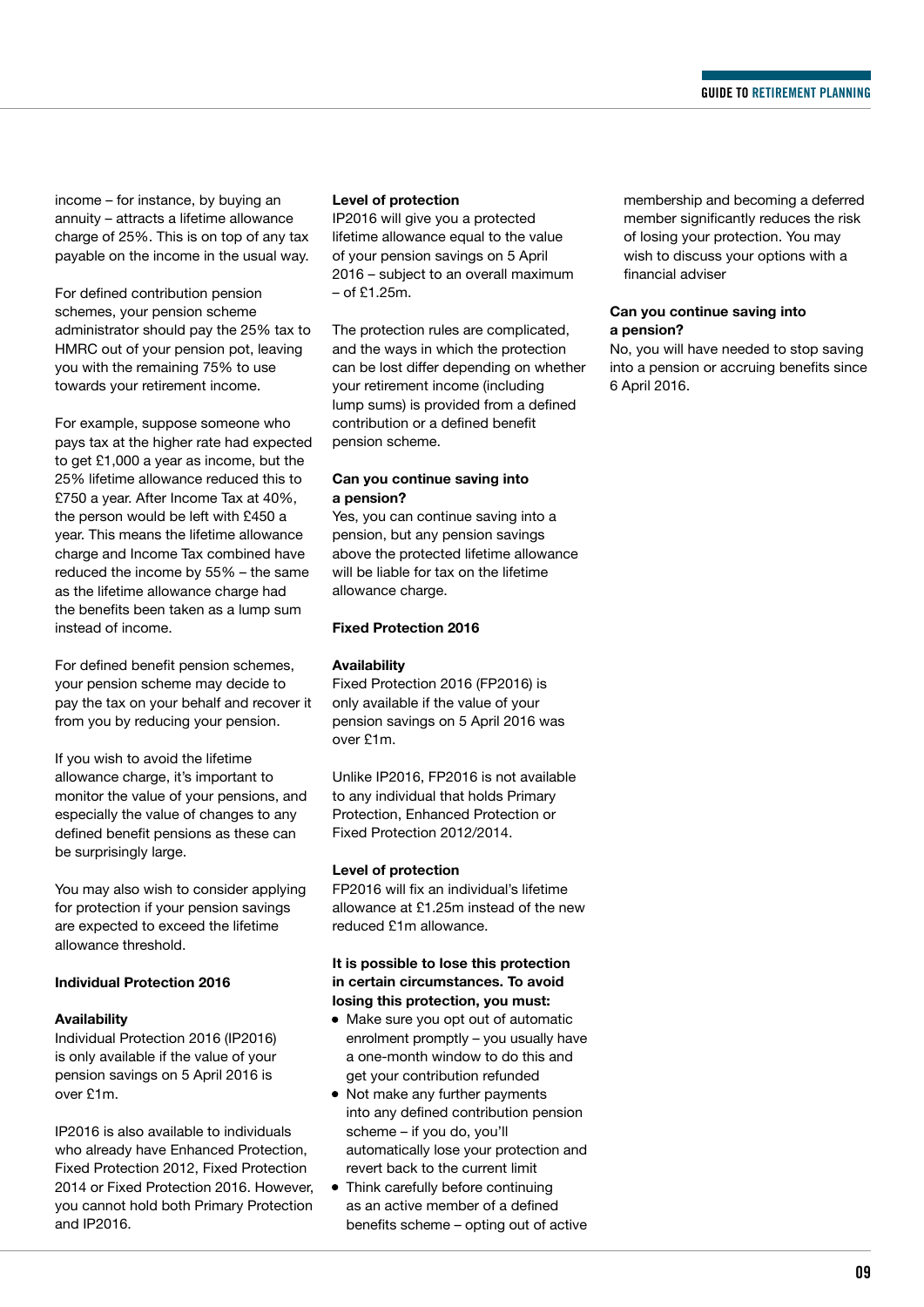income – for instance, by buying an annuity – attracts a lifetime allowance charge of 25%. This is on top of any tax payable on the income in the usual way.

For defined contribution pension schemes, your pension scheme administrator should pay the 25% tax to HMRC out of your pension pot, leaving you with the remaining 75% to use towards your retirement income.

For example, suppose someone who pays tax at the higher rate had expected to get £1,000 a year as income, but the 25% lifetime allowance reduced this to £750 a year. After Income Tax at 40%, the person would be left with £450 a year. This means the lifetime allowance charge and Income Tax combined have reduced the income by 55% – the same as the lifetime allowance charge had the benefits been taken as a lump sum instead of income.

For defined benefit pension schemes, your pension scheme may decide to pay the tax on your behalf and recover it from you by reducing your pension.

If you wish to avoid the lifetime allowance charge, it's important to monitor the value of your pensions, and especially the value of changes to any defined benefit pensions as these can be surprisingly large.

You may also wish to consider applying for protection if your pension savings are expected to exceed the lifetime allowance threshold.

#### **Individual Protection 2016**

#### **Availability**

Individual Protection 2016 (IP2016) is only available if the value of your pension savings on 5 April 2016 is over £1m.

IP2016 is also available to individuals who already have Enhanced Protection. Fixed Protection 2012, Fixed Protection 2014 or Fixed Protection 2016. However, you cannot hold both Primary Protection and IP2016.

#### **Level of protection**

IP2016 will give you a protected lifetime allowance equal to the value of your pension savings on 5 April 2016 – subject to an overall maximum – of £1.25m.

The protection rules are complicated, and the ways in which the protection can be lost differ depending on whether your retirement income (including lump sums) is provided from a defined contribution or a defined benefit pension scheme.

#### **Can you continue saving into a pension?**

Yes, you can continue saving into a pension, but any pension savings above the protected lifetime allowance will be liable for tax on the lifetime allowance charge.

#### **Fixed Protection 2016**

#### **Availability**

Fixed Protection 2016 (FP2016) is only available if the value of your pension savings on 5 April 2016 was over £1m.

Unlike IP2016, FP2016 is not available to any individual that holds Primary Protection, Enhanced Protection or Fixed Protection 2012/2014.

#### **Level of protection**

FP2016 will fix an individual's lifetime allowance at £1.25m instead of the new reduced £1m allowance.

#### **It is possible to lose this protection in certain circumstances. To avoid losing this protection, you must:**

- Make sure you opt out of automatic enrolment promptly – you usually have a one-month window to do this and get your contribution refunded
- Not make any further payments into any defined contribution pension scheme – if you do, you'll automatically lose your protection and revert back to the current limit
- Think carefully before continuing as an active member of a defined benefits scheme – opting out of active

membership and becoming a deferred member significantly reduces the risk of losing your protection. You may wish to discuss your options with a financial adviser

#### **Can you continue saving into a pension?**

No, you will have needed to stop saving into a pension or accruing benefits since 6 April 2016.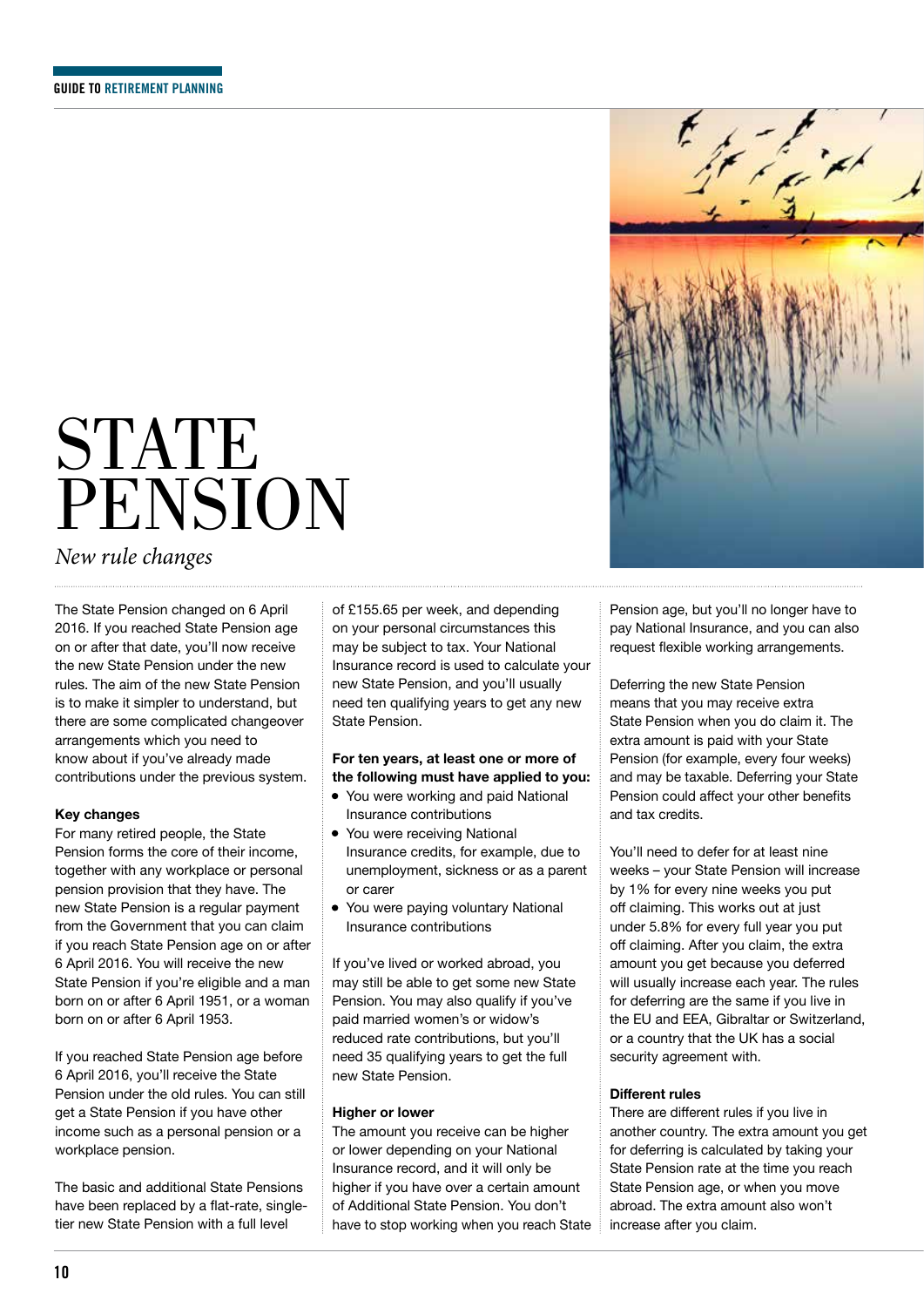## **STATE** PENSION

### *New rule changes*

The State Pension changed on 6 April 2016. If you reached State Pension age on or after that date, you'll now receive the new State Pension under the new rules. The aim of the new State Pension is to make it simpler to understand, but there are some complicated changeover arrangements which you need to know about if you've already made contributions under the previous system.

#### **Key changes**

For many retired people, the State Pension forms the core of their income, together with any workplace or personal pension provision that they have. The new State Pension is a regular payment from the Government that you can claim if you reach State Pension age on or after 6 April 2016. You will receive the new State Pension if you're eligible and a man born on or after 6 April 1951, or a woman born on or after 6 April 1953.

If you reached State Pension age before 6 April 2016, you'll receive the State Pension under the old rules. You can still get a State Pension if you have other income such as a personal pension or a workplace pension.

The basic and additional State Pensions have been replaced by a flat-rate, singletier new State Pension with a full level

of £155.65 per week, and depending on your personal circumstances this may be subject to tax. Your National Insurance record is used to calculate your new State Pension, and you'll usually need ten qualifying years to get any new State Pension.

#### **For ten years, at least one or more of the following must have applied to you:**

- You were working and paid National Insurance contributions
- You were receiving National Insurance credits, for example, due to unemployment, sickness or as a parent or carer
- You were paying voluntary National Insurance contributions

If you've lived or worked abroad, you may still be able to get some new State Pension. You may also qualify if you've paid married women's or widow's reduced rate contributions, but you'll need 35 qualifying years to get the full new State Pension.

#### **Higher or lower**

The amount you receive can be higher or lower depending on your National Insurance record, and it will only be higher if you have over a certain amount of Additional State Pension. You don't have to stop working when you reach State



Deferring the new State Pension means that you may receive extra State Pension when you do claim it. The extra amount is paid with your State Pension (for example, every four weeks) and may be taxable. Deferring your State Pension could affect your other benefits and tax credits.

You'll need to defer for at least nine weeks – your State Pension will increase by 1% for every nine weeks you put off claiming. This works out at just under 5.8% for every full year you put off claiming. After you claim, the extra amount you get because you deferred will usually increase each year. The rules for deferring are the same if you live in the EU and EEA, Gibraltar or Switzerland, or a country that the UK has a social security agreement with.

#### **Different rules**

There are different rules if you live in another country. The extra amount you get for deferring is calculated by taking your State Pension rate at the time you reach State Pension age, or when you move abroad. The extra amount also won't increase after you claim.

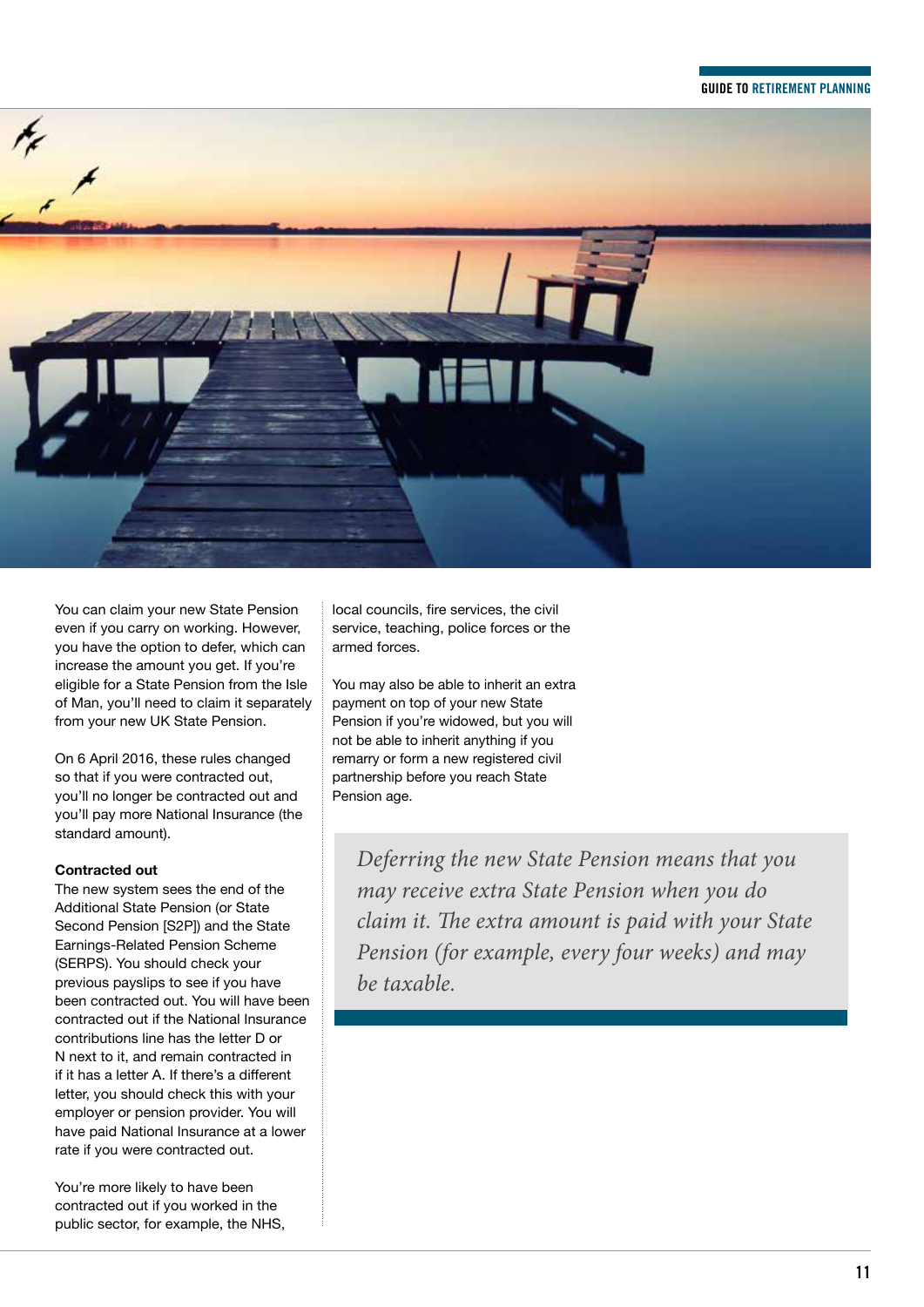#### **GUIDE TO RETIREMENT PLANNING**



You can claim your new State Pension even if you carry on working. However, you have the option to defer, which can increase the amount you get. If you're eligible for a State Pension from the Isle of Man, you'll need to claim it separately from your new UK State Pension.

On 6 April 2016, these rules changed so that if you were contracted out, you'll no longer be contracted out and you'll pay more National Insurance (the standard amount).

#### **Contracted out**

The new system sees the end of the Additional State Pension (or State Second Pension [S2P]) and the State Earnings-Related Pension Scheme (SERPS). You should check your previous payslips to see if you have been contracted out. You will have been contracted out if the National Insurance contributions line has the letter D or N next to it, and remain contracted in if it has a letter A. If there's a different letter, you should check this with your employer or pension provider. You will have paid National Insurance at a lower rate if you were contracted out.

You're more likely to have been contracted out if you worked in the public sector, for example, the NHS, local councils, fire services, the civil service, teaching, police forces or the armed forces.

You may also be able to inherit an extra payment on top of your new State Pension if you're widowed, but you will not be able to inherit anything if you remarry or form a new registered civil partnership before you reach State Pension age.

*Deferring the new State Pension means that you may receive extra State Pension when you do claim it. The extra amount is paid with your State Pension (for example, every four weeks) and may be taxable.*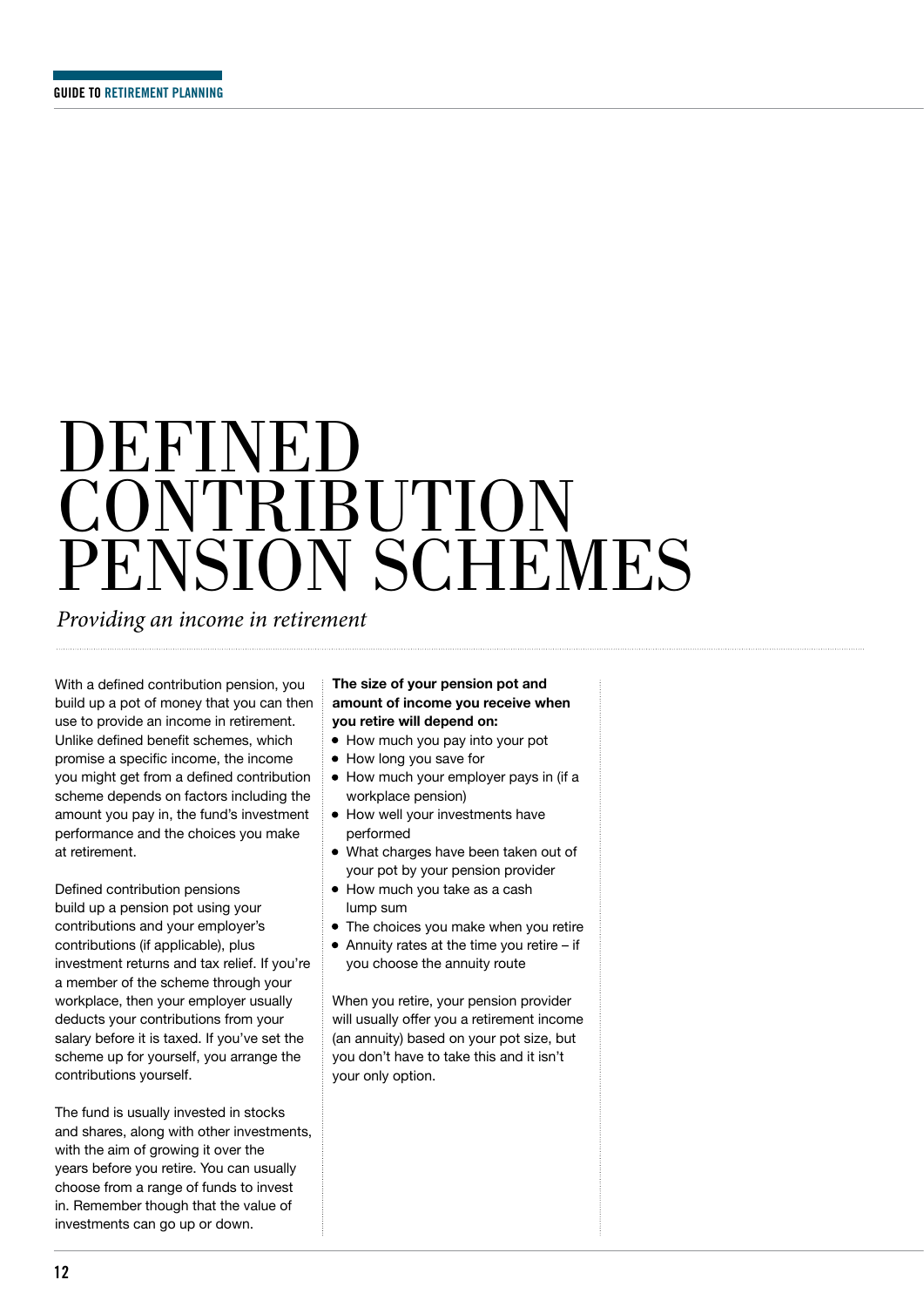## DEFINED **CONTRIBUTION** PENSION SCHEMES

*Providing an income in retirement*

With a defined contribution pension, you build up a pot of money that you can then use to provide an income in retirement. Unlike defined benefit schemes, which promise a specific income, the income you might get from a defined contribution scheme depends on factors including the amount you pay in, the fund's investment performance and the choices you make at retirement.

Defined contribution pensions build up a pension pot using your contributions and your employer's contributions (if applicable), plus investment returns and tax relief. If you're a member of the scheme through your workplace, then your employer usually deducts your contributions from your salary before it is taxed. If you've set the scheme up for yourself, you arrange the contributions yourself.

The fund is usually invested in stocks and shares, along with other investments, with the aim of growing it over the years before you retire. You can usually choose from a range of funds to invest in. Remember though that the value of investments can go up or down.

#### **The size of your pension pot and amount of income you receive when you retire will depend on:**

- How much you pay into your pot
- How long you save for
- How much your employer pays in (if a workplace pension)
- How well your investments have performed
- What charges have been taken out of your pot by your pension provider
- How much you take as a cash lump sum
- The choices you make when you retire
- Annuity rates at the time you retire if you choose the annuity route

When you retire, your pension provider will usually offer you a retirement income (an annuity) based on your pot size, but you don't have to take this and it isn't your only option.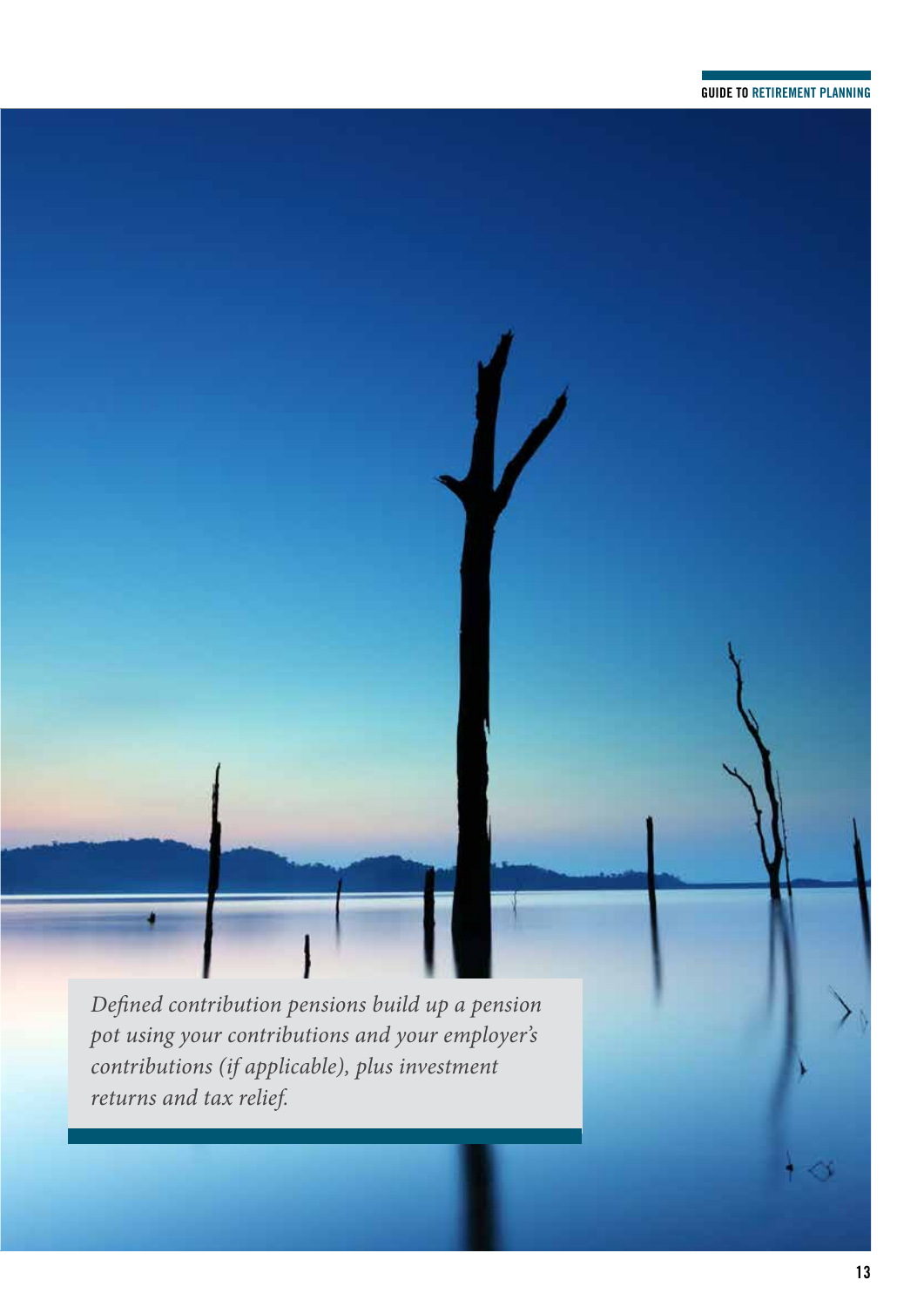*Defined contribution pensions build up a pension pot using your contributions and your employer's contributions (if applicable), plus investment returns and tax relief.*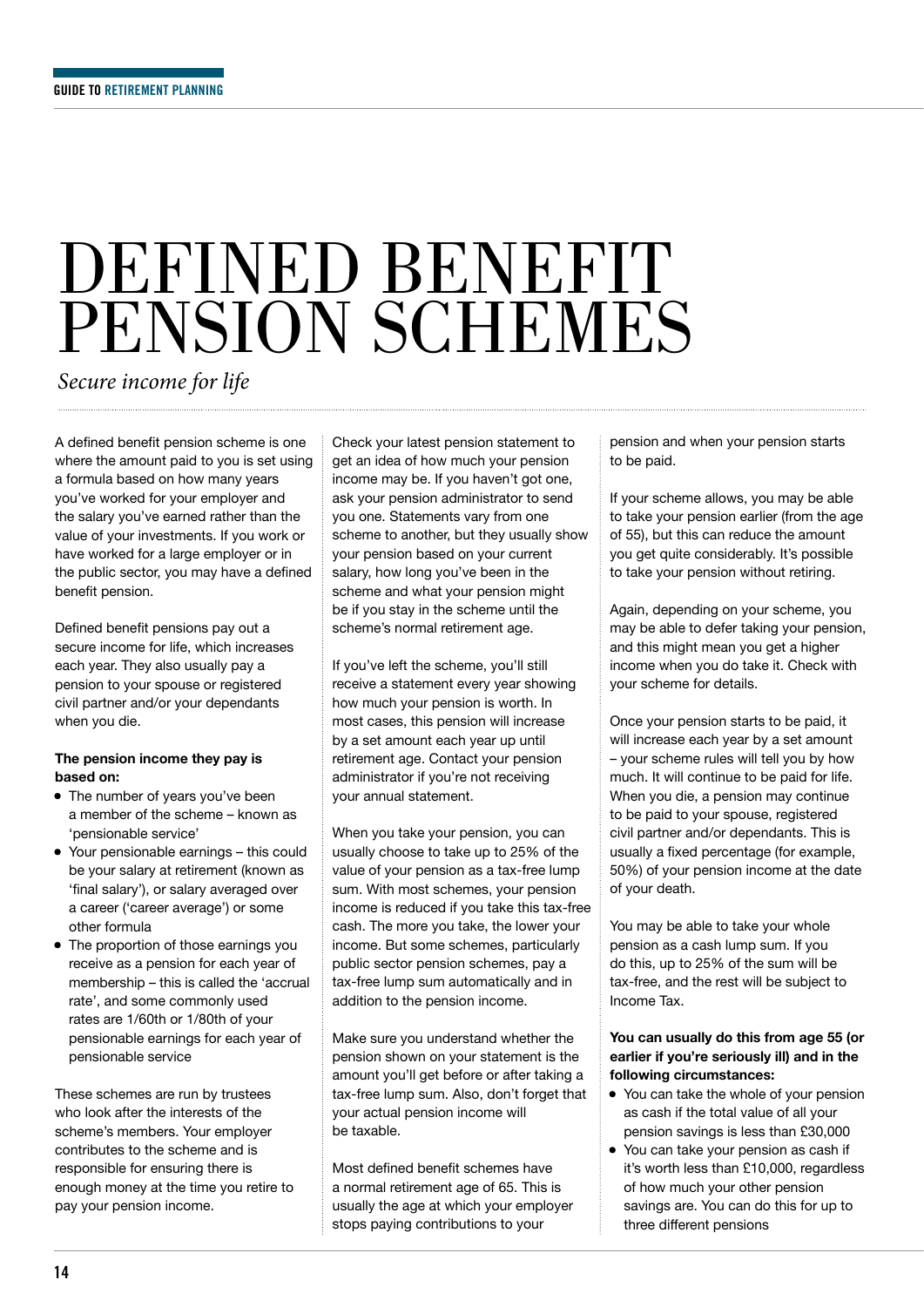### DEFINED BENEFIT PENSION SCHEMES

*Secure income for life*

A defined benefit pension scheme is one where the amount paid to you is set using a formula based on how many years you've worked for your employer and the salary you've earned rather than the value of your investments. If you work or have worked for a large employer or in the public sector, you may have a defined benefit pension.

Defined benefit pensions pay out a secure income for life, which increases each year. They also usually pay a pension to your spouse or registered civil partner and/or your dependants when you die.

#### **The pension income they pay is based on:**

- The number of years you've been a member of the scheme – known as 'pensionable service'
- Your pensionable earnings this could be your salary at retirement (known as 'final salary'), or salary averaged over a career ('career average') or some other formula
- The proportion of those earnings you receive as a pension for each year of membership – this is called the 'accrual rate', and some commonly used rates are 1/60th or 1/80th of your pensionable earnings for each year of pensionable service

These schemes are run by trustees who look after the interests of the scheme's members. Your employer contributes to the scheme and is responsible for ensuring there is enough money at the time you retire to pay your pension income.

Check your latest pension statement to get an idea of how much your pension income may be. If you haven't got one, ask your pension administrator to send you one. Statements vary from one scheme to another, but they usually show your pension based on your current salary, how long you've been in the scheme and what your pension might be if you stay in the scheme until the scheme's normal retirement age.

If you've left the scheme, you'll still receive a statement every year showing how much your pension is worth. In most cases, this pension will increase by a set amount each year up until retirement age. Contact your pension administrator if you're not receiving your annual statement.

When you take your pension, you can usually choose to take up to 25% of the value of your pension as a tax-free lump sum. With most schemes, your pension income is reduced if you take this tax-free cash. The more you take, the lower your income. But some schemes, particularly public sector pension schemes, pay a tax-free lump sum automatically and in addition to the pension income.

Make sure you understand whether the pension shown on your statement is the amount you'll get before or after taking a tax-free lump sum. Also, don't forget that your actual pension income will be taxable.

Most defined benefit schemes have a normal retirement age of 65. This is usually the age at which your employer stops paying contributions to your

pension and when your pension starts to be paid.

If your scheme allows, you may be able to take your pension earlier (from the age of 55), but this can reduce the amount you get quite considerably. It's possible to take your pension without retiring.

Again, depending on your scheme, you may be able to defer taking your pension, and this might mean you get a higher income when you do take it. Check with your scheme for details.

Once your pension starts to be paid, it will increase each year by a set amount – your scheme rules will tell you by how much. It will continue to be paid for life. When you die, a pension may continue to be paid to your spouse, registered civil partner and/or dependants. This is usually a fixed percentage (for example, 50%) of your pension income at the date of your death.

You may be able to take your whole pension as a cash lump sum. If you do this, up to 25% of the sum will be tax-free, and the rest will be subject to Income Tax.

#### **You can usually do this from age 55 (or earlier if you're seriously ill) and in the following circumstances:**

- You can take the whole of your pension as cash if the total value of all your pension savings is less than £30,000
- You can take your pension as cash if it's worth less than £10,000, regardless of how much your other pension savings are. You can do this for up to three different pensions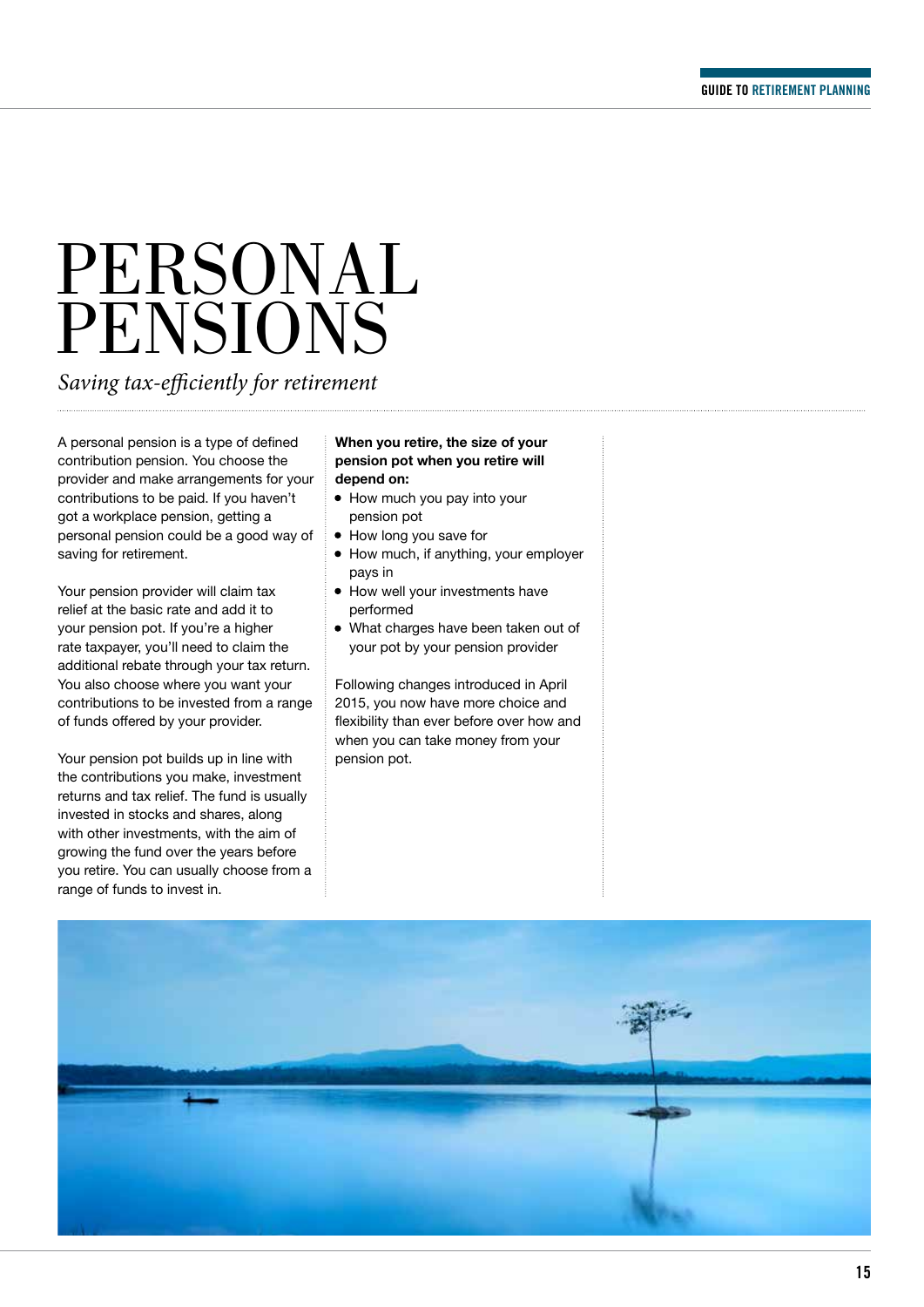## PERSONAL PENSIONS

*Saving tax-efficiently for retirement*

A personal pension is a type of defined contribution pension. You choose the provider and make arrangements for your contributions to be paid. If you haven't got a workplace pension, getting a personal pension could be a good way of saving for retirement.

Your pension provider will claim tax relief at the basic rate and add it to your pension pot. If you're a higher rate taxpayer, you'll need to claim the additional rebate through your tax return. You also choose where you want your contributions to be invested from a range of funds offered by your provider.

Your pension pot builds up in line with the contributions you make, investment returns and tax relief. The fund is usually invested in stocks and shares, along with other investments, with the aim of growing the fund over the years before you retire. You can usually choose from a range of funds to invest in.

#### **When you retire, the size of your pension pot when you retire will depend on:**

- How much you pay into your pension pot
- How long you save for
- How much, if anything, your employer pays in
- How well your investments have performed
- What charges have been taken out of your pot by your pension provider

Following changes introduced in April 2015, you now have more choice and flexibility than ever before over how and when you can take money from your pension pot.

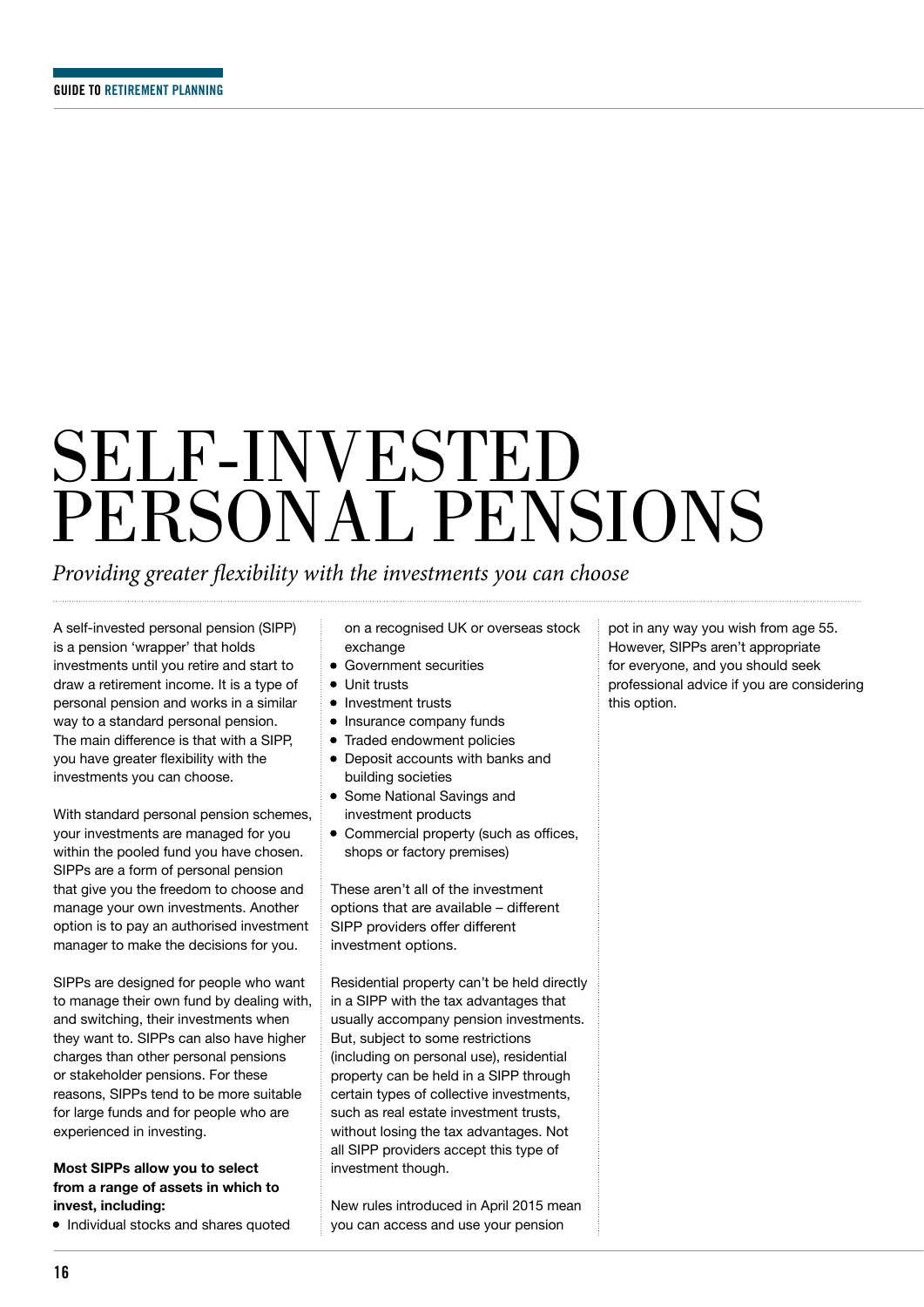## SELF-INVESTED PERSONAL PENSIONS

### *Providing greater flexibility with the investments you can choose*

A self-invested personal pension (SIPP) is a pension 'wrapper' that holds investments until you retire and start to draw a retirement income. It is a type of personal pension and works in a similar way to a standard personal pension. The main difference is that with a SIPP, you have greater flexibility with the investments you can choose.

With standard personal pension schemes, your investments are managed for you within the pooled fund you have chosen. SIPPs are a form of personal pension that give you the freedom to choose and manage your own investments. Another option is to pay an authorised investment manager to make the decisions for you.

SIPPs are designed for people who want to manage their own fund by dealing with, and switching, their investments when they want to. SIPPs can also have higher charges than other personal pensions or stakeholder pensions. For these reasons, SIPPs tend to be more suitable for large funds and for people who are experienced in investing.

#### **Most SIPPs allow you to select from a range of assets in which to invest, including:**

• Individual stocks and shares quoted

on a recognised UK or overseas stock exchange

- Government securities
- Unit trusts
- Investment trusts
- Insurance company funds
- Traded endowment policies
- Deposit accounts with banks and building societies
- Some National Savings and investment products
- Commercial property (such as offices, shops or factory premises)

These aren't all of the investment options that are available – different SIPP providers offer different investment options.

Residential property can't be held directly in a SIPP with the tax advantages that usually accompany pension investments. But, subject to some restrictions (including on personal use), residential property can be held in a SIPP through certain types of collective investments, such as real estate investment trusts, without losing the tax advantages. Not all SIPP providers accept this type of investment though.

New rules introduced in April 2015 mean you can access and use your pension

pot in any way you wish from age 55. However, SIPPs aren't appropriate for everyone, and you should seek professional advice if you are considering this option.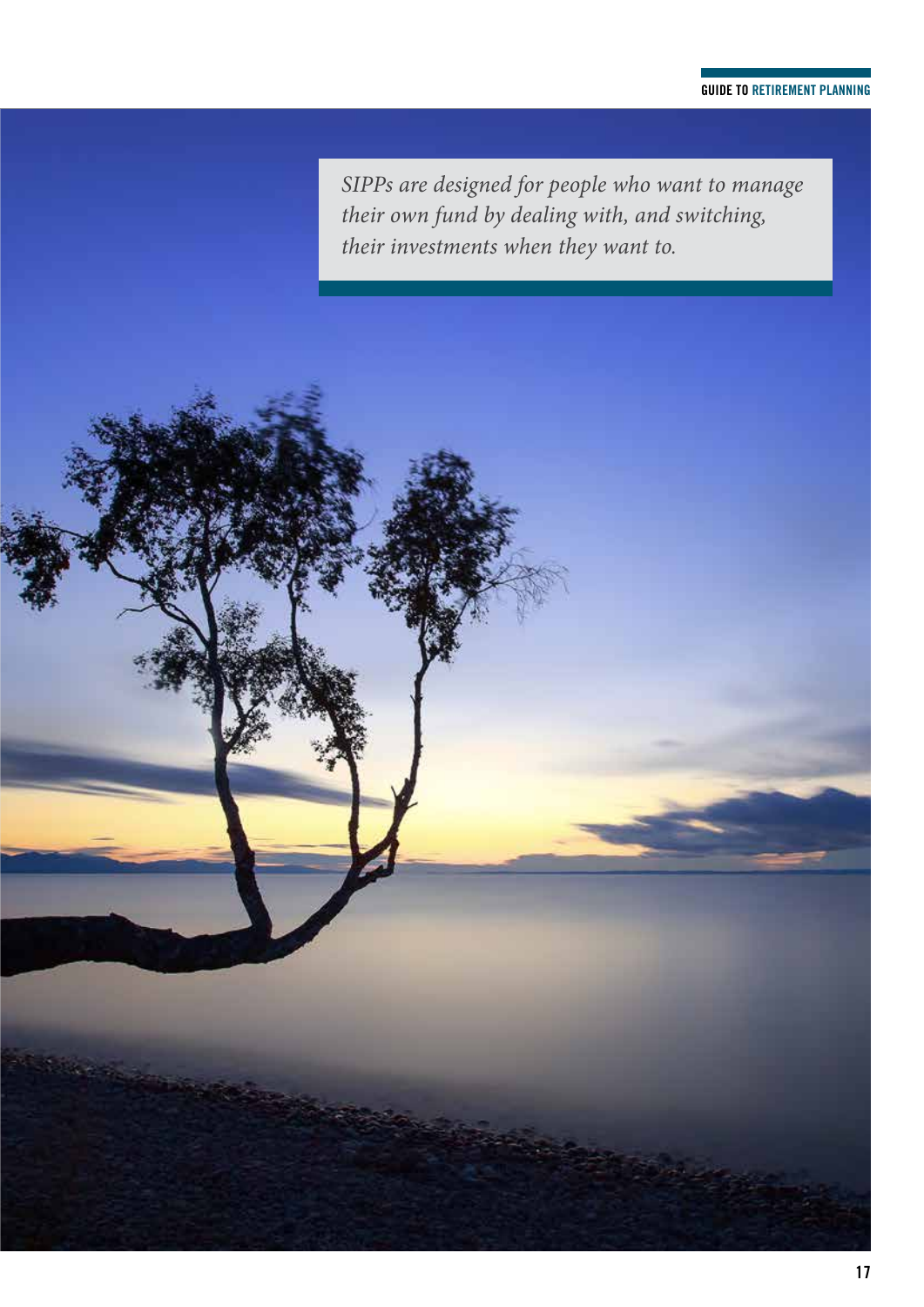#### **GUIDE TO RETIREMENT PLANNING**

*SIPPs are designed for people who want to manage their own fund by dealing with, and switching, their investments when they want to.*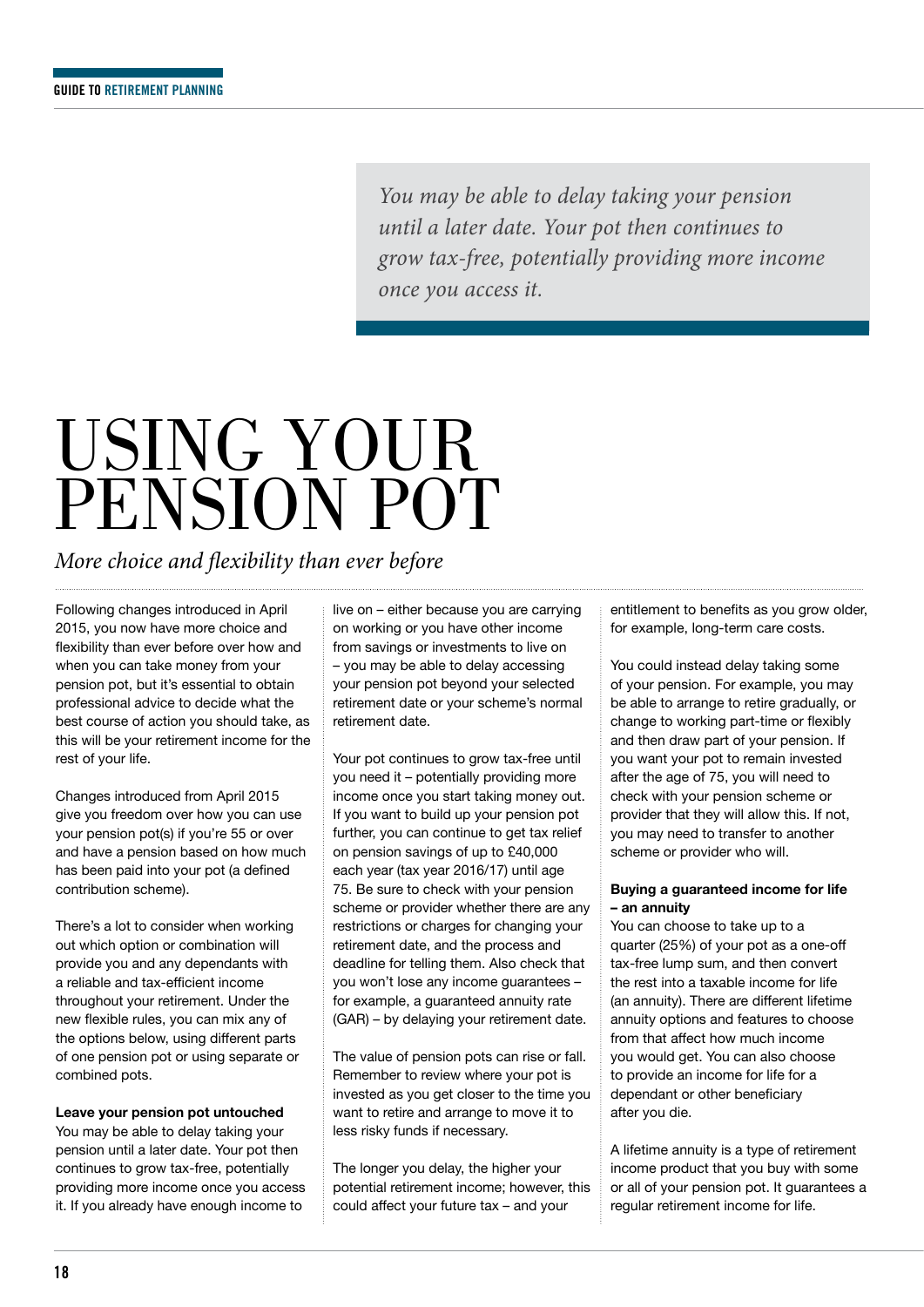*You may be able to delay taking your pension until a later date. Your pot then continues to grow tax-free, potentially providing more income once you access it.*

### USING YOUR PENSION POT

*More choice and flexibility than ever before*

Following changes introduced in April 2015, you now have more choice and flexibility than ever before over how and when you can take money from your pension pot, but it's essential to obtain professional advice to decide what the best course of action you should take, as this will be your retirement income for the rest of your life.

Changes introduced from April 2015 give you freedom over how you can use your pension pot(s) if you're 55 or over and have a pension based on how much has been paid into your pot (a defined contribution scheme).

There's a lot to consider when working out which option or combination will provide you and any dependants with a reliable and tax-efficient income throughout your retirement. Under the new flexible rules, you can mix any of the options below, using different parts of one pension pot or using separate or combined pots.

**Leave your pension pot untouched** You may be able to delay taking your pension until a later date. Your pot then continues to grow tax-free, potentially providing more income once you access it. If you already have enough income to

live on – either because you are carrying on working or you have other income from savings or investments to live on – you may be able to delay accessing your pension pot beyond your selected retirement date or your scheme's normal retirement date.

Your pot continues to grow tax-free until you need it – potentially providing more income once you start taking money out. If you want to build up your pension pot further, you can continue to get tax relief on pension savings of up to £40,000 each year (tax year 2016/17) until age 75. Be sure to check with your pension scheme or provider whether there are any restrictions or charges for changing your retirement date, and the process and deadline for telling them. Also check that you won't lose any income guarantees – for example, a guaranteed annuity rate (GAR) – by delaying your retirement date.

The value of pension pots can rise or fall. Remember to review where your pot is invested as you get closer to the time you want to retire and arrange to move it to less risky funds if necessary.

The longer you delay, the higher your potential retirement income; however, this could affect your future tax – and your

entitlement to benefits as you grow older, for example, long-term care costs.

You could instead delay taking some of your pension. For example, you may be able to arrange to retire gradually, or change to working part-time or flexibly and then draw part of your pension. If you want your pot to remain invested after the age of 75, you will need to check with your pension scheme or provider that they will allow this. If not, you may need to transfer to another scheme or provider who will.

#### **Buying a guaranteed income for life – an annuity**

You can choose to take up to a quarter (25%) of your pot as a one-off tax-free lump sum, and then convert the rest into a taxable income for life (an annuity). There are different lifetime annuity options and features to choose from that affect how much income you would get. You can also choose to provide an income for life for a dependant or other beneficiary after you die.

A lifetime annuity is a type of retirement income product that you buy with some or all of your pension pot. It guarantees a regular retirement income for life.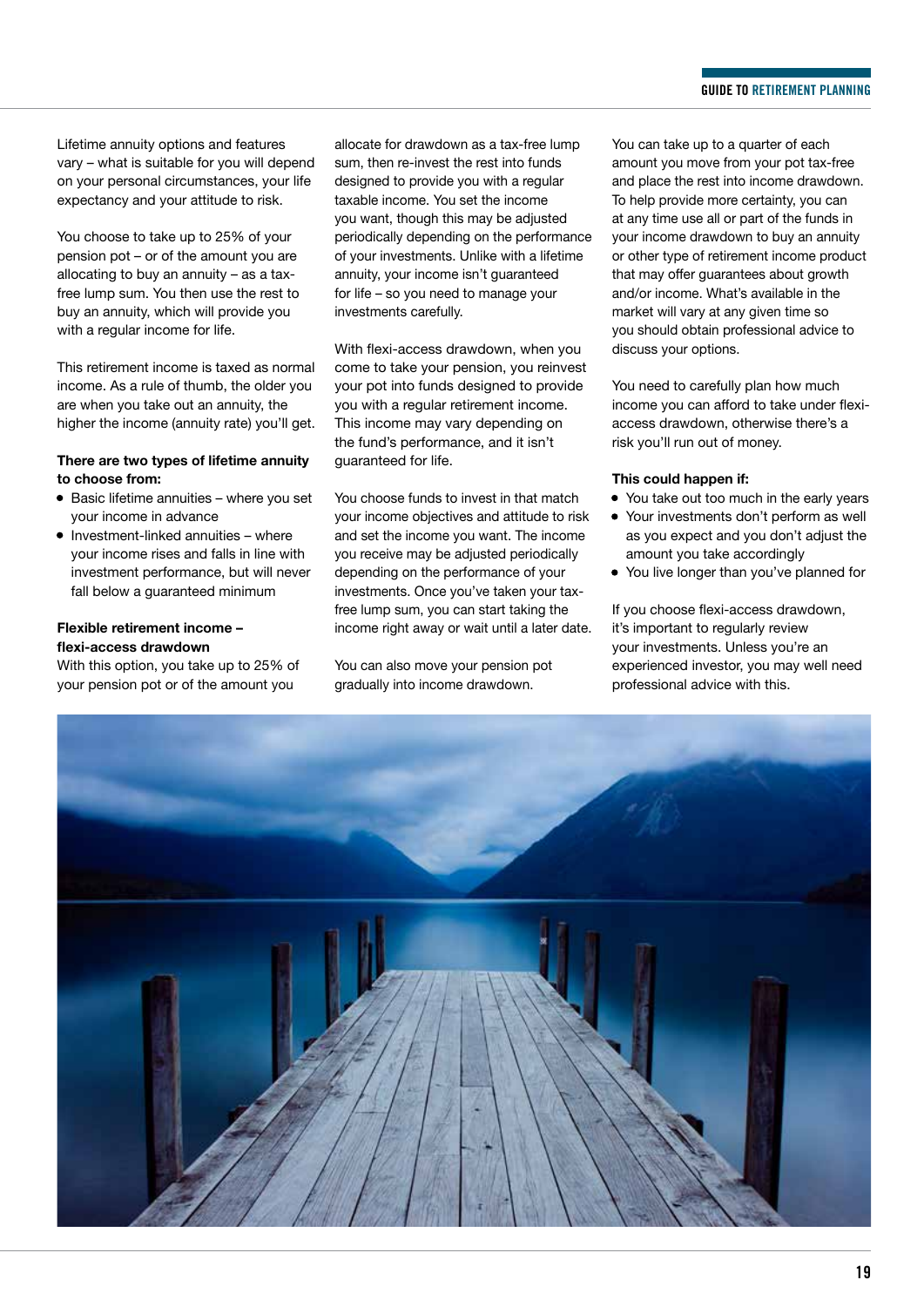Lifetime annuity options and features vary – what is suitable for you will depend on your personal circumstances, your life expectancy and your attitude to risk.

You choose to take up to 25% of your pension pot – or of the amount you are allocating to buy an annuity – as a taxfree lump sum. You then use the rest to buy an annuity, which will provide you with a regular income for life.

This retirement income is taxed as normal income. As a rule of thumb, the older you are when you take out an annuity, the higher the income (annuity rate) you'll get.

#### **There are two types of lifetime annuity to choose from:**

- Basic lifetime annuities where you set your income in advance
- Investment-linked annuities where your income rises and falls in line with investment performance, but will never fall below a guaranteed minimum

#### **Flexible retirement income – flexi-access drawdown**

With this option, you take up to 25% of your pension pot or of the amount you

allocate for drawdown as a tax-free lump sum, then re-invest the rest into funds designed to provide you with a regular taxable income. You set the income you want, though this may be adjusted periodically depending on the performance of your investments. Unlike with a lifetime annuity, your income isn't guaranteed for life – so you need to manage your investments carefully.

With flexi-access drawdown, when you come to take your pension, you reinvest your pot into funds designed to provide you with a regular retirement income. This income may vary depending on the fund's performance, and it isn't guaranteed for life.

You choose funds to invest in that match your income objectives and attitude to risk and set the income you want. The income you receive may be adjusted periodically depending on the performance of your investments. Once you've taken your taxfree lump sum, you can start taking the income right away or wait until a later date.

You can also move your pension pot gradually into income drawdown.

You can take up to a quarter of each amount you move from your pot tax-free and place the rest into income drawdown. To help provide more certainty, you can at any time use all or part of the funds in your income drawdown to buy an annuity or other type of retirement income product that may offer guarantees about growth and/or income. What's available in the market will vary at any given time so you should obtain professional advice to discuss your options.

You need to carefully plan how much income you can afford to take under flexiaccess drawdown, otherwise there's a risk you'll run out of money.

#### **This could happen if:**

- You take out too much in the early years
- Your investments don't perform as well as you expect and you don't adjust the amount you take accordingly
- You live longer than you've planned for

If you choose flexi-access drawdown, it's important to regularly review your investments. Unless you're an experienced investor, you may well need professional advice with this.

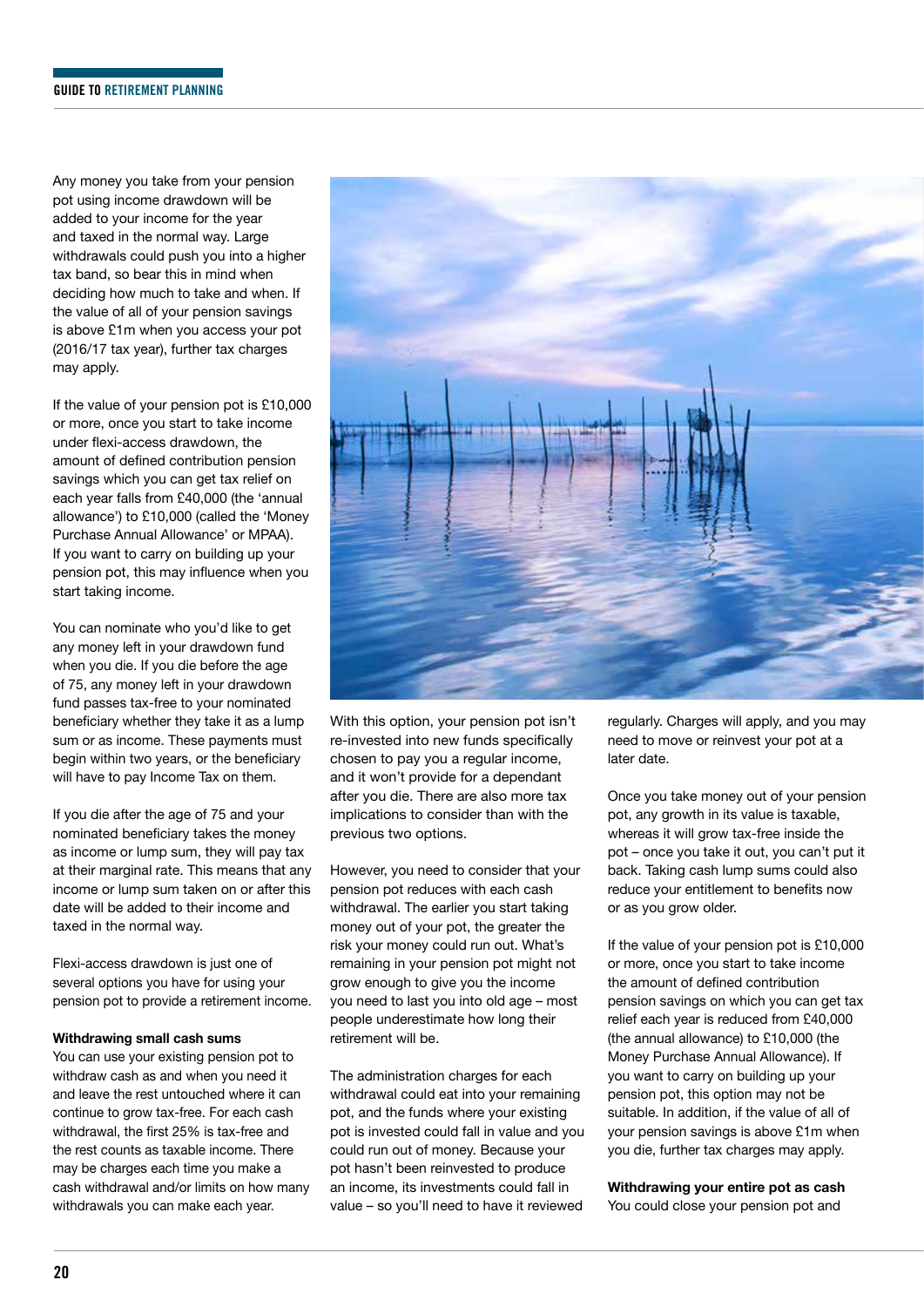Any money you take from your pension pot using income drawdown will be added to your income for the year and taxed in the normal way. Large withdrawals could push you into a higher tax band, so bear this in mind when deciding how much to take and when. If the value of all of your pension savings is above £1m when you access your pot (2016/17 tax year), further tax charges may apply.

If the value of your pension pot is £10,000 or more, once you start to take income under flexi-access drawdown, the amount of defined contribution pension savings which you can get tax relief on each year falls from £40,000 (the 'annual allowance') to £10,000 (called the 'Money Purchase Annual Allowance' or MPAA). If you want to carry on building up your pension pot, this may influence when you start taking income.

You can nominate who you'd like to get any money left in your drawdown fund when you die. If you die before the age of 75, any money left in your drawdown fund passes tax-free to your nominated beneficiary whether they take it as a lump sum or as income. These payments must begin within two years, or the beneficiary will have to pay Income Tax on them.

If you die after the age of 75 and your nominated beneficiary takes the money as income or lump sum, they will pay tax at their marginal rate. This means that any income or lump sum taken on or after this date will be added to their income and taxed in the normal way.

Flexi-access drawdown is just one of several options you have for using your pension pot to provide a retirement income.

#### **Withdrawing small cash sums**

You can use your existing pension pot to withdraw cash as and when you need it and leave the rest untouched where it can continue to grow tax-free. For each cash withdrawal, the first 25% is tax-free and the rest counts as taxable income. There may be charges each time you make a cash withdrawal and/or limits on how many withdrawals you can make each year.



With this option, your pension pot isn't re-invested into new funds specifically chosen to pay you a regular income, and it won't provide for a dependant after you die. There are also more tax implications to consider than with the previous two options.

However, you need to consider that your pension pot reduces with each cash withdrawal. The earlier you start taking money out of your pot, the greater the risk your money could run out. What's remaining in your pension pot might not grow enough to give you the income you need to last you into old age – most people underestimate how long their retirement will be.

The administration charges for each withdrawal could eat into your remaining pot, and the funds where your existing pot is invested could fall in value and you could run out of money. Because your pot hasn't been reinvested to produce an income, its investments could fall in value – so you'll need to have it reviewed

regularly. Charges will apply, and you may need to move or reinvest your pot at a later date.

Once you take money out of your pension pot, any growth in its value is taxable, whereas it will grow tax-free inside the pot – once you take it out, you can't put it back. Taking cash lump sums could also reduce your entitlement to benefits now or as you grow older.

If the value of your pension pot is £10,000 or more, once you start to take income the amount of defined contribution pension savings on which you can get tax relief each year is reduced from £40,000 (the annual allowance) to £10,000 (the Money Purchase Annual Allowance). If you want to carry on building up your pension pot, this option may not be suitable. In addition, if the value of all of your pension savings is above £1m when you die, further tax charges may apply.

**Withdrawing your entire pot as cash** You could close your pension pot and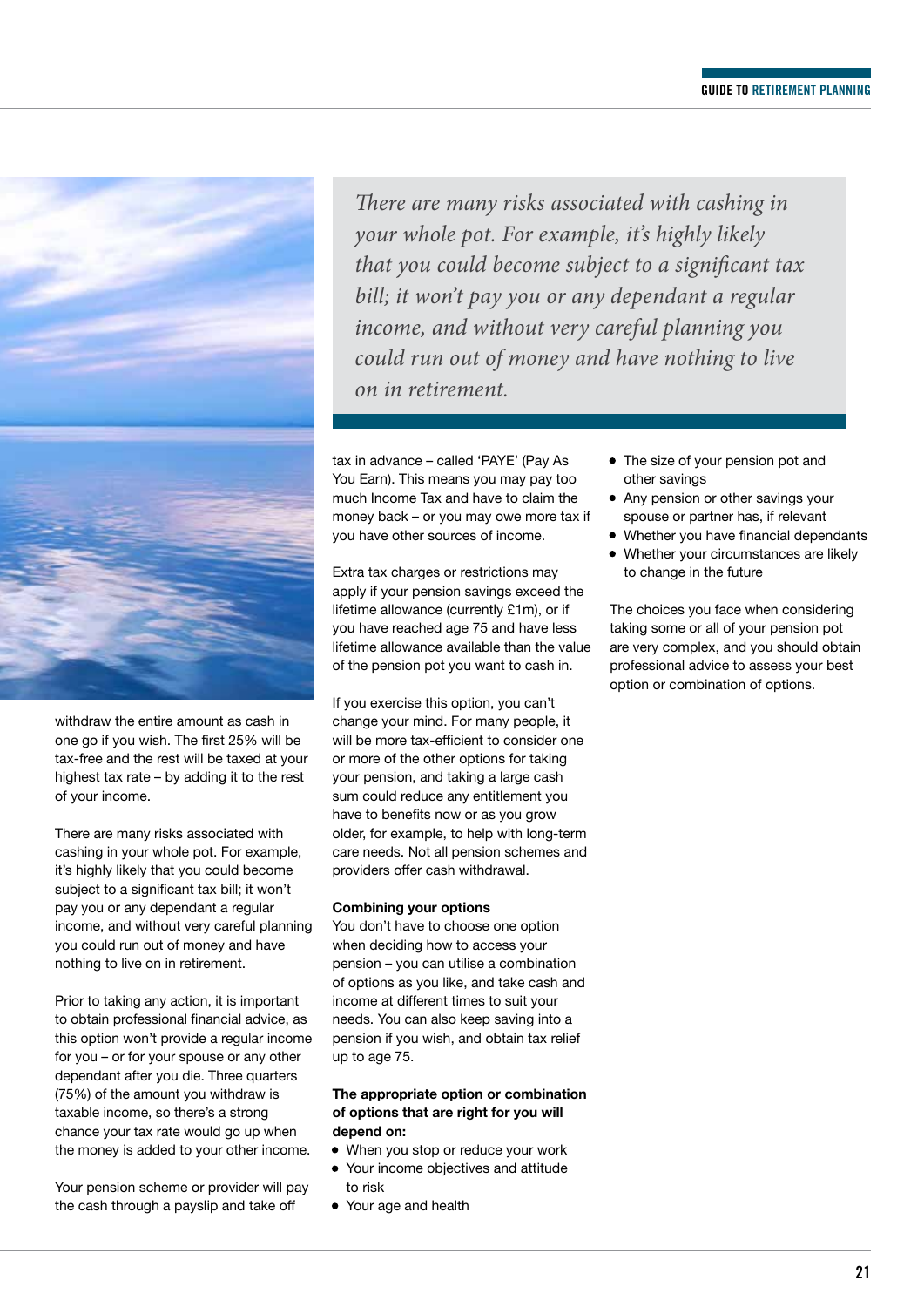

withdraw the entire amount as cash in one go if you wish. The first 25% will be tax-free and the rest will be taxed at your highest tax rate – by adding it to the rest of your income.

There are many risks associated with cashing in your whole pot. For example, it's highly likely that you could become subject to a significant tax bill; it won't pay you or any dependant a regular income, and without very careful planning you could run out of money and have nothing to live on in retirement.

Prior to taking any action, it is important to obtain professional financial advice, as this option won't provide a regular income for you – or for your spouse or any other dependant after you die. Three quarters (75%) of the amount you withdraw is taxable income, so there's a strong chance your tax rate would go up when the money is added to your other income.

Your pension scheme or provider will pay the cash through a payslip and take off

*There are many risks associated with cashing in your whole pot. For example, it's highly likely that you could become subject to a significant tax bill; it won't pay you or any dependant a regular income, and without very careful planning you could run out of money and have nothing to live on in retirement.* 

tax in advance – called 'PAYE' (Pay As You Earn). This means you may pay too much Income Tax and have to claim the money back – or you may owe more tax if you have other sources of income.

Extra tax charges or restrictions may apply if your pension savings exceed the lifetime allowance (currently £1m), or if you have reached age 75 and have less lifetime allowance available than the value of the pension pot you want to cash in.

If you exercise this option, you can't change your mind. For many people, it will be more tax-efficient to consider one or more of the other options for taking your pension, and taking a large cash sum could reduce any entitlement you have to benefits now or as you grow older, for example, to help with long-term care needs. Not all pension schemes and providers offer cash withdrawal.

#### **Combining your options**

You don't have to choose one option when deciding how to access your pension – you can utilise a combination of options as you like, and take cash and income at different times to suit your needs. You can also keep saving into a pension if you wish, and obtain tax relief up to age 75.

#### **The appropriate option or combination of options that are right for you will depend on:**

- When you stop or reduce your work
- Your income objectives and attitude to risk
	- Your age and health
- The size of your pension pot and other savings
- Any pension or other savings your spouse or partner has, if relevant
- Whether you have financial dependants
- Whether your circumstances are likely to change in the future

The choices you face when considering taking some or all of your pension pot are very complex, and you should obtain professional advice to assess your best option or combination of options.